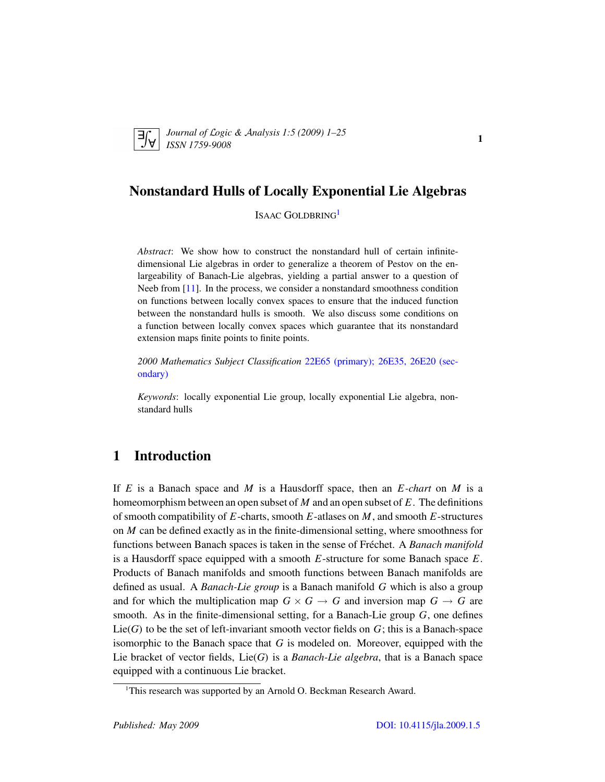<span id="page-0-1"></span>

*Journal of* L*ogic &* A*nalysis 1:5 (2009) 1–25 ISSN 1759-9008* 1.5 (2005) 1 25

# Nonstandard Hulls of Locally Exponential Lie Algebras

ISAAC GOLDBRING<sup>[1](#page-0-0)</sup>

*Abstract*: We show how to construct the nonstandard hull of certain infinitedimensional Lie algebras in order to generalize a theorem of Pestov on the enlargeability of Banach-Lie algebras, yielding a partial answer to a question of Neeb from [\[11\]](#page-24-0). In the process, we consider a nonstandard smoothness condition on functions between locally convex spaces to ensure that the induced function between the nonstandard hulls is smooth. We also discuss some conditions on a function between locally convex spaces which guarantee that its nonstandard extension maps finite points to finite points.

*2000 Mathematics Subject Classification* [22E65 \(primary\); 26E35, 26E20 \(sec](http://www.ams.org/mathscinet/search/mscdoc.html?code=22E65,(26E35, 26E20))[ondary\)](http://www.ams.org/mathscinet/search/mscdoc.html?code=22E65,(26E35, 26E20))

*Keywords*: locally exponential Lie group, locally exponential Lie algebra, nonstandard hulls

# 1 Introduction

If *E* is a Banach space and *M* is a Hausdorff space, then an *E -chart* on *M* is a homeomorphism between an open subset of *M* and an open subset of *E*. The definitions of smooth compatibility of *E*-charts, smooth *E*-atlases on *M*, and smooth *E*-structures on *M* can be defined exactly as in the finite-dimensional setting, where smoothness for functions between Banach spaces is taken in the sense of Fréchet. A *Banach manifold* is a Hausdorff space equipped with a smooth *E*-structure for some Banach space *E*. Products of Banach manifolds and smooth functions between Banach manifolds are defined as usual. A *Banach-Lie group* is a Banach manifold *G* which is also a group and for which the multiplication map  $G \times G \rightarrow G$  and inversion map  $G \rightarrow G$  are smooth. As in the finite-dimensional setting, for a Banach-Lie group *G*, one defines Lie(*G*) to be the set of left-invariant smooth vector fields on *G*; this is a Banach-space isomorphic to the Banach space that *G* is modeled on. Moreover, equipped with the Lie bracket of vector fields, Lie(*G*) is a *Banach-Lie algebra*, that is a Banach space equipped with a continuous Lie bracket.

<span id="page-0-0"></span><sup>&</sup>lt;sup>1</sup>This research was supported by an Arnold O. Beckman Research Award.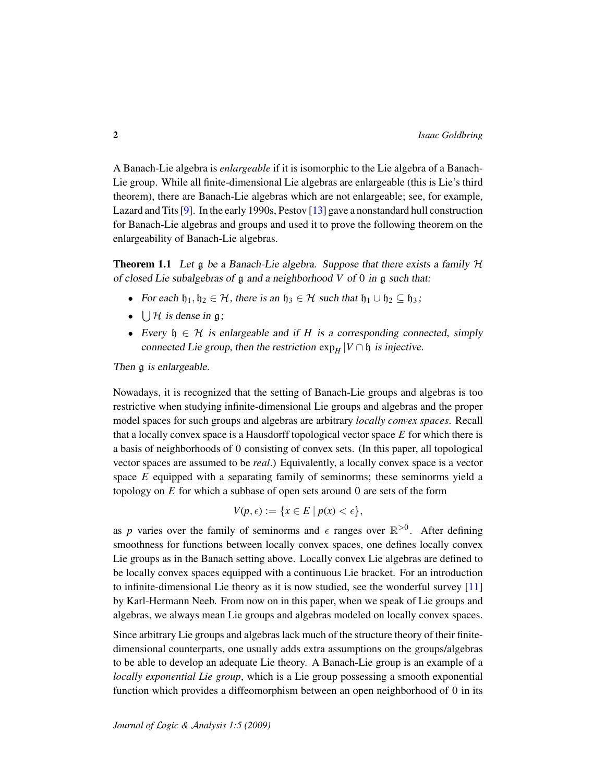A Banach-Lie algebra is *enlargeable* if it is isomorphic to the Lie algebra of a Banach-Lie group. While all finite-dimensional Lie algebras are enlargeable (this is Lie's third theorem), there are Banach-Lie algebras which are not enlargeable; see, for example, Lazard and Tits [\[9\]](#page-23-0). In the early 1990s, Pestov [\[13\]](#page-24-1) gave a nonstandard hull construction for Banach-Lie algebras and groups and used it to prove the following theorem on the enlargeability of Banach-Lie algebras.

<span id="page-1-0"></span>**Theorem 1.1** Let  $\mathfrak g$  be a Banach-Lie algebra. Suppose that there exists a family  $\mathcal H$ of closed Lie subalgebras of g and a neighborhood *V* of 0 in g such that:

- For each  $\mathfrak{h}_1, \mathfrak{h}_2 \in \mathcal{H}$ , there is an  $\mathfrak{h}_3 \in \mathcal{H}$  such that  $\mathfrak{h}_1 \cup \mathfrak{h}_2 \subseteq \mathfrak{h}_3$ ;
- $\bigcup \mathcal{H}$  is dense in  $\mathfrak{g}$ ;
- Every  $\mathfrak{h} \in \mathcal{H}$  is enlargeable and if *H* is a corresponding connected, simply connected Lie group, then the restriction  $\exp_H |V \cap \mathfrak{h}|$  is injective.

Then  $\alpha$  is enlargeable.

Nowadays, it is recognized that the setting of Banach-Lie groups and algebras is too restrictive when studying infinite-dimensional Lie groups and algebras and the proper model spaces for such groups and algebras are arbitrary *locally convex spaces*. Recall that a locally convex space is a Hausdorff topological vector space *E* for which there is a basis of neighborhoods of 0 consisting of convex sets. (In this paper, all topological vector spaces are assumed to be *real*.) Equivalently, a locally convex space is a vector space *E* equipped with a separating family of seminorms; these seminorms yield a topology on *E* for which a subbase of open sets around 0 are sets of the form

$$
V(p, \epsilon) := \{ x \in E \mid p(x) < \epsilon \},
$$

as p varies over the family of seminorms and  $\epsilon$  ranges over  $\mathbb{R}^{>0}$ . After defining smoothness for functions between locally convex spaces, one defines locally convex Lie groups as in the Banach setting above. Locally convex Lie algebras are defined to be locally convex spaces equipped with a continuous Lie bracket. For an introduction to infinite-dimensional Lie theory as it is now studied, see the wonderful survey [\[11\]](#page-24-0) by Karl-Hermann Neeb. From now on in this paper, when we speak of Lie groups and algebras, we always mean Lie groups and algebras modeled on locally convex spaces.

Since arbitrary Lie groups and algebras lack much of the structure theory of their finitedimensional counterparts, one usually adds extra assumptions on the groups/algebras to be able to develop an adequate Lie theory. A Banach-Lie group is an example of a *locally exponential Lie group*, which is a Lie group possessing a smooth exponential function which provides a diffeomorphism between an open neighborhood of 0 in its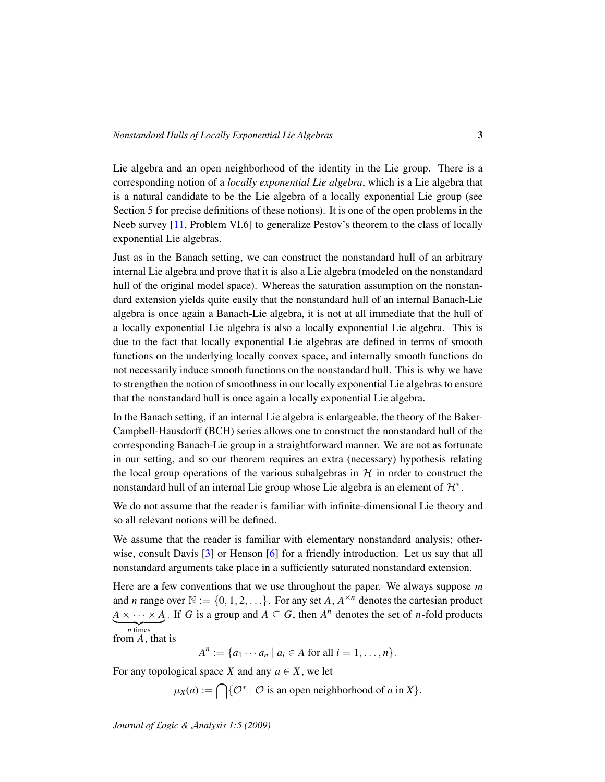Lie algebra and an open neighborhood of the identity in the Lie group. There is a corresponding notion of a *locally exponential Lie algebra*, which is a Lie algebra that is a natural candidate to be the Lie algebra of a locally exponential Lie group (see Section 5 for precise definitions of these notions). It is one of the open problems in the Neeb survey [\[11,](#page-24-0) Problem VI.6] to generalize Pestov's theorem to the class of locally exponential Lie algebras.

Just as in the Banach setting, we can construct the nonstandard hull of an arbitrary internal Lie algebra and prove that it is also a Lie algebra (modeled on the nonstandard hull of the original model space). Whereas the saturation assumption on the nonstandard extension yields quite easily that the nonstandard hull of an internal Banach-Lie algebra is once again a Banach-Lie algebra, it is not at all immediate that the hull of a locally exponential Lie algebra is also a locally exponential Lie algebra. This is due to the fact that locally exponential Lie algebras are defined in terms of smooth functions on the underlying locally convex space, and internally smooth functions do not necessarily induce smooth functions on the nonstandard hull. This is why we have to strengthen the notion of smoothness in our locally exponential Lie algebras to ensure that the nonstandard hull is once again a locally exponential Lie algebra.

In the Banach setting, if an internal Lie algebra is enlargeable, the theory of the Baker-Campbell-Hausdorff (BCH) series allows one to construct the nonstandard hull of the corresponding Banach-Lie group in a straightforward manner. We are not as fortunate in our setting, and so our theorem requires an extra (necessary) hypothesis relating the local group operations of the various subalgebras in  $H$  in order to construct the nonstandard hull of an internal Lie group whose Lie algebra is an element of  $\mathcal{H}^*$ .

We do not assume that the reader is familiar with infinite-dimensional Lie theory and so all relevant notions will be defined.

We assume that the reader is familiar with elementary nonstandard analysis; other-wise, consult Davis [\[3\]](#page-23-1) or Henson [\[6\]](#page-23-2) for a friendly introduction. Let us say that all nonstandard arguments take place in a sufficiently saturated nonstandard extension.

Here are a few conventions that we use throughout the paper. We always suppose *m* and *n* range over  $\mathbb{N} := \{0, 1, 2, \ldots\}$ . For any set *A*,  $A^{\times n}$  denotes the cartesian product  $A \times \cdots \times A$ . If *G* is a group and  $A \subseteq G$ , then  $A^n$  denotes the set of *n*-fold products  $\overline{n}$  times

from 
$$
A
$$
, that is

 $A^n := \{a_1 \cdots a_n \mid a_i \in A \text{ for all } i = 1, \ldots, n\}.$ 

For any topological space *X* and any  $a \in X$ , we let

$$
\mu_X(a) := \bigcap \{ \mathcal{O}^* \mid \mathcal{O} \text{ is an open neighborhood of } a \text{ in } X \}.
$$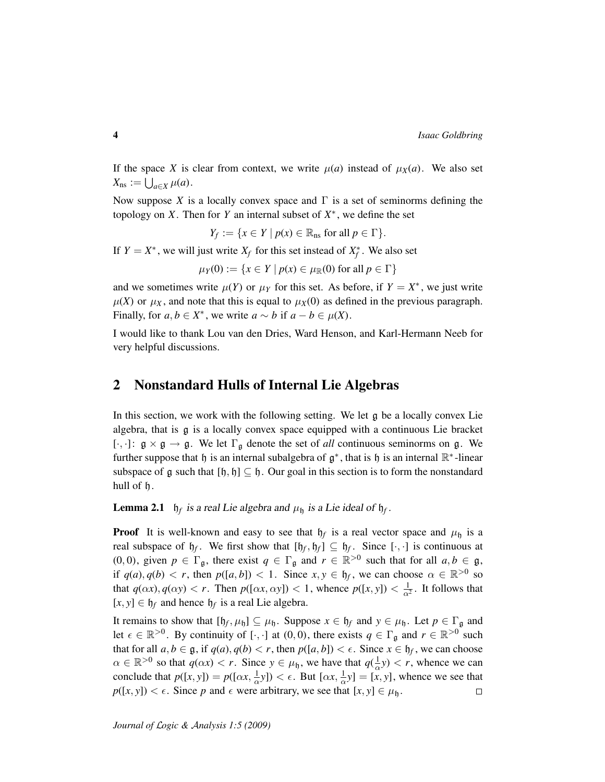If the space *X* is clear from context, we write  $\mu(a)$  instead of  $\mu_X(a)$ . We also set  $X_{\text{ns}} := \bigcup_{a \in X} \mu(a).$ 

Now suppose *X* is a locally convex space and  $\Gamma$  is a set of seminorms defining the topology on *X*. Then for *Y* an internal subset of  $X^*$ , we define the set

 $Y_f := \{x \in Y \mid p(x) \in \mathbb{R}_{\text{ns}} \text{ for all } p \in \Gamma\}.$ 

If  $Y = X^*$ , we will just write  $X_f$  for this set instead of  $X_f^*$ . We also set

 $\mu_Y(0) := \{x \in Y \mid p(x) \in \mu_{\mathbb{R}}(0) \text{ for all } p \in \Gamma\}$ 

and we sometimes write  $\mu(Y)$  or  $\mu_Y$  for this set. As before, if  $Y = X^*$ , we just write  $\mu(X)$  or  $\mu_X$ , and note that this is equal to  $\mu_X(0)$  as defined in the previous paragraph. Finally, for  $a, b \in X^*$ , we write  $a \sim b$  if  $a - b \in \mu(X)$ .

I would like to thank Lou van den Dries, Ward Henson, and Karl-Hermann Neeb for very helpful discussions.

## 2 Nonstandard Hulls of Internal Lie Algebras

In this section, we work with the following setting. We let g be a locally convex Lie algebra, that is g is a locally convex space equipped with a continuous Lie bracket [ $\cdot$ ,  $\cdot$ ]:  $\mathfrak{g} \times \mathfrak{g} \to \mathfrak{g}$ . We let  $\Gamma_{\mathfrak{g}}$  denote the set of *all* continuous seminorms on  $\mathfrak{g}$ . We further suppose that  $\mathfrak h$  is an internal subalgebra of  $\mathfrak g^*$ , that is  $\mathfrak h$  is an internal  $\mathbb R^*$ -linear subspace of g such that  $[\mathfrak{h}, \mathfrak{h}] \subseteq \mathfrak{h}$ . Our goal in this section is to form the nonstandard hull of h.

**Lemma 2.1**  $h_f$  is a real Lie algebra and  $\mu_h$  is a Lie ideal of  $h_f$ .

**Proof** It is well-known and easy to see that  $h_f$  is a real vector space and  $\mu_h$  is a real subspace of  $h_f$ . We first show that  $[h_f, h_f] \subseteq h_f$ . Since  $[\cdot, \cdot]$  is continuous at (0, 0), given  $p \in \Gamma_{\mathfrak{g}}$ , there exist  $q \in \Gamma_{\mathfrak{g}}$  and  $r \in \mathbb{R}^{>0}$  such that for all  $a, b \in \mathfrak{g}$ , if  $q(a), q(b) < r$ , then  $p([a, b]) < 1$ . Since  $x, y \in \mathfrak{h}_f$ , we can choose  $\alpha \in \mathbb{R}^{>0}$  so that  $q(\alpha x)$ ,  $q(\alpha y) < r$ . Then  $p([\alpha x, \alpha y]) < 1$ , whence  $p([x, y]) < \frac{1}{\alpha^2}$ . It follows that  $[x, y] \in \mathfrak{h}_f$  and hence  $\mathfrak{h}_f$  is a real Lie algebra.

It remains to show that  $[f_f, \mu_b] \subseteq \mu_b$ . Suppose  $x \in f_f$  and  $y \in \mu_b$ . Let  $p \in \Gamma_g$  and let  $\epsilon \in \mathbb{R}^{>0}$ . By continuity of [ $\cdot$ , $\cdot$ ] at (0,0), there exists  $q \in \Gamma_{\mathfrak{g}}$  and  $r \in \mathbb{R}^{>0}$  such that for all  $a, b \in \mathfrak{g}$ , if  $q(a), q(b) < r$ , then  $p([a, b]) < \epsilon$ . Since  $x \in \mathfrak{h}_f$ , we can choose  $\alpha \in \mathbb{R}^{>0}$  so that  $q(\alpha x) < r$ . Since  $y \in \mu_{\mathfrak{h}}$ , we have that  $q(\frac{1}{\alpha}y) < r$ , whence we can conclude that  $p([x, y]) = p([\alpha x, \frac{1}{\alpha}y]) < \epsilon$ . But  $[\alpha x, \frac{1}{\alpha}y] = [x, y]$ , whence we see that  $p([x, y]) < \epsilon$ . Since *p* and  $\epsilon$  were arbitrary, we see that  $[x, y] \in \mu_{\mathfrak{h}}$ .  $\Box$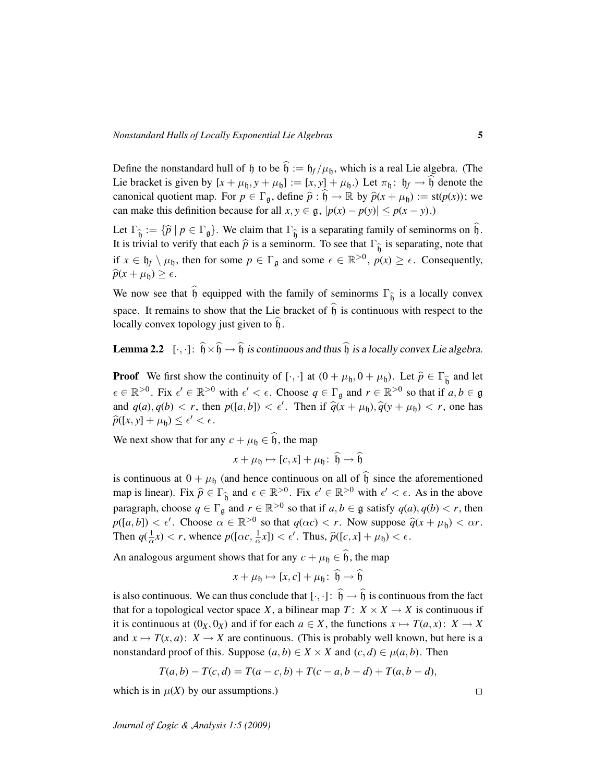Define the nonstandard hull of h to be  $\hat{h} := h_f / \mu_h$ , which is a real Lie algebra. (The Lie bracket is given by  $[x + \mu_{\mathfrak{h}}, y + \mu_{\mathfrak{h}}] := [x, y] + \mu_{\mathfrak{h}}$ . Let  $\pi_{\mathfrak{h}}: \mathfrak{h}_f \to \widehat{\mathfrak{h}}$  denote the canonical quotient map. For  $p \in \Gamma_{\mathfrak{a}}$ , define  $\hat{p} : \hat{\mathfrak{h}} \to \mathbb{R}$  by  $\hat{p}(x + \mu_{\mathfrak{h}}) := \text{st}(p(x))$ ; we can make this definition because for all  $x, y \in \mathfrak{g}, |p(x) - p(y)| \leq p(x - y)$ .)

Let  $\Gamma_{\widehat{b}} := {\widehat{p} \mid p \in \Gamma_{\mathfrak{g}}}$ . We claim that  $\Gamma_{\widehat{b}}$  is a separating family of seminorms on b. It is trivial to verify that each  $\hat{p}$  is a seminorm. To see that  $\Gamma_{\hat{b}}$  is separating, note that if  $x \in \mathfrak{h}_f \setminus \mu_{\mathfrak{h}}$ , then for some  $p \in \Gamma_{\mathfrak{g}}$  and some  $\epsilon \in \mathbb{R}^{>0}$ ,  $p(x) \geq \epsilon$ . Consequently,  $\widehat{p}(x + \mu_{\mathfrak{h}}) \geq \epsilon.$ 

We now see that h equipped with the family of seminorms  $\Gamma_{\hat{\mathfrak{h}}}$  is a locally convex space. It remains to show that the Lie bracket of  $\hat{h}$  is continuous with respect to the locally convex topology just given to  $h$ .

**Lemma 2.2**  $[\cdot, \cdot]: \hat{\mathfrak{h}} \times \hat{\mathfrak{h}} \to \hat{\mathfrak{h}}$  is continuous and thus  $\hat{\mathfrak{h}}$  is a locally convex Lie algebra.

**Proof** We first show the continuity of [·, ·] at  $(0 + \mu_{\mathfrak{h}}, 0 + \mu_{\mathfrak{h}})$ . Let  $\hat{p} \in \Gamma_{\hat{\mathfrak{h}}}$  and let  $\epsilon \in \mathbb{R}^{>0}$ . Fix  $\epsilon' \in \mathbb{R}^{>0}$  with  $\epsilon' < \epsilon$ . Choose  $q \in \Gamma_{\mathfrak{g}}$  and  $r \in \mathbb{R}^{>0}$  so that if  $a, b \in \mathfrak{g}$ and  $q(a)$ ,  $q(b) < r$ , then  $p([a, b]) < \epsilon'$ . Then if  $\hat{q}(x + \mu_b), \hat{q}(y + \mu_b) < r$ , one has  $\widehat{p}([x, y] + \mu_{\mathfrak{h}}) \leq \epsilon' < \epsilon.$ 

We next show that for any  $c + \mu_h \in \widehat{h}$ , the map

$$
x + \mu_{\mathfrak{h}} \mapsto [c, x] + \mu_{\mathfrak{h}} \colon \mathfrak{h} \to \mathfrak{h}
$$

is continuous at  $0 + \mu_b$  (and hence continuous on all of  $\hat{b}$  since the aforementioned map is linear). Fix  $\hat{p} \in \Gamma_{\hat{b}}$  and  $\epsilon \in \mathbb{R}^{>0}$ . Fix  $\epsilon' \in \mathbb{R}^{>0}$  with  $\epsilon' < \epsilon$ . As in the above paragraph, choose  $q \in \Gamma_{\mathfrak{g}}$  and  $r \in \mathbb{R}^{>0}$  so that if  $a, b \in \mathfrak{g}$  satisfy  $q(a), q(b) < r$ , then  $p([a, b]) < \epsilon'$ . Choose  $\alpha \in \mathbb{R}^{>0}$  so that  $q(\alpha c) < r$ . Now suppose  $\hat{q}(x + \mu_b) < \alpha r$ . Then  $q(\frac{1}{\alpha}x) < r$ , whence  $p([\alpha c, \frac{1}{\alpha}x]) < \epsilon'$ . Thus,  $\hat{p}([c, x] + \mu_{\mathfrak{h}}) < \epsilon$ .

An analogous argument shows that for any  $c + \mu_{\mathfrak{h}} \in \widehat{\mathfrak{h}}$ , the map

$$
x + \mu_{\mathfrak{h}} \mapsto [x, c] + \mu_{\mathfrak{h}} \colon \widehat{\mathfrak{h}} \to \widehat{\mathfrak{h}}
$$

is also continuous. We can thus conclude that  $[\cdot, \cdot] : \hat{\mathfrak{h}} \to \hat{\mathfrak{h}}$  is continuous from the fact that for a topological vector space *X*, a bilinear map  $T: X \times X \rightarrow X$  is continuous if it is continuous at  $(0_X, 0_X)$  and if for each  $a \in X$ , the functions  $x \mapsto T(a, x)$ :  $X \to X$ and  $x \mapsto T(x, a)$ :  $X \to X$  are continuous. (This is probably well known, but here is a nonstandard proof of this. Suppose  $(a, b) \in X \times X$  and  $(c, d) \in \mu(a, b)$ . Then

$$
T(a,b) - T(c,d) = T(a-c,b) + T(c-a,b-d) + T(a,b-d),
$$

which is in  $\mu(X)$  by our assumptions.)

*Journal of* L*ogic &* A*nalysis 1:5 (2009)*

 $\Box$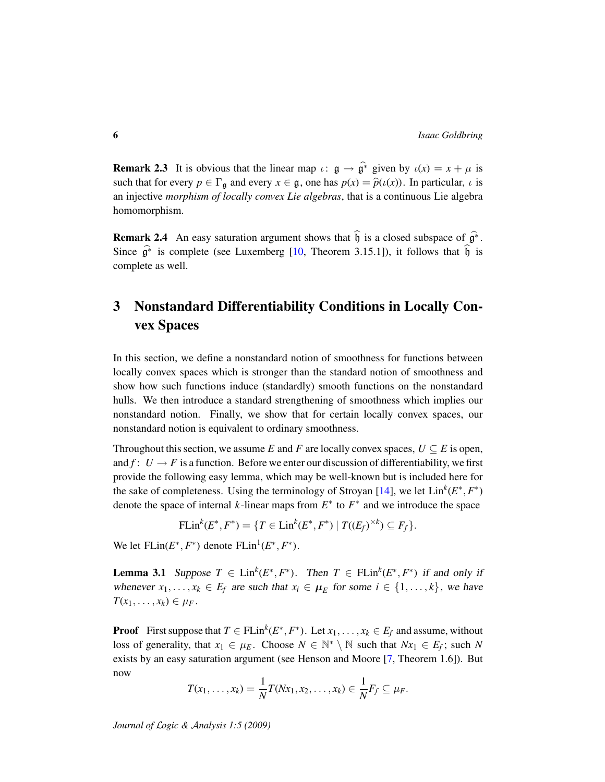**Remark 2.3** It is obvious that the linear map  $\iota: \mathfrak{g} \to \widehat{\mathfrak{g}^*}$  given by  $\iota(x) = x + \mu$  is such that for every  $p \in \Gamma_{\mathfrak{g}}$  and every  $x \in \mathfrak{g}$ , one has  $p(x) = \hat{p}(\iota(x))$ . In particular,  $\iota$  is an injective *morphism of locally convex Lie algebras*, that is a continuous Lie algebra homomorphism.

Remark 2.4 An easy saturation argument shows that  $\hat{b}$  is a closed subspace of  $\hat{g}^*$ . Since  $\hat{\mathfrak{g}}^*$  is complete (see Luxemberg [\[10,](#page-23-3) Theorem 3.15.1]), it follows that  $\hat{\mathfrak{h}}$  is complete as well.

# 3 Nonstandard Differentiability Conditions in Locally Convex Spaces

In this section, we define a nonstandard notion of smoothness for functions between locally convex spaces which is stronger than the standard notion of smoothness and show how such functions induce (standardly) smooth functions on the nonstandard hulls. We then introduce a standard strengthening of smoothness which implies our nonstandard notion. Finally, we show that for certain locally convex spaces, our nonstandard notion is equivalent to ordinary smoothness.

Throughout this section, we assume *E* and *F* are locally convex spaces,  $U \subseteq E$  is open, and  $f: U \to F$  is a function. Before we enter our discussion of differentiability, we first provide the following easy lemma, which may be well-known but is included here for the sake of completeness. Using the terminology of Stroyan [\[14\]](#page-24-2), we let  $\text{Lin}^k(E^*, F^*)$ denote the space of internal  $k$ -linear maps from  $E^*$  to  $F^*$  and we introduce the space

FLin<sup>k</sup>(
$$
E^*
$$
,  $F^*$ ) = { $T \in Lin^k(E^*, F^*) | T((E_f)^{\times k}) \subseteq F_f$  }.

We let  $FLin(E^*, F^*)$  denote  $FLin^1(E^*, F^*)$ .

<span id="page-5-0"></span>**Lemma 3.1** Suppose  $T \in \text{Lin}^k(E^*, F^*)$ . Then  $T \in \text{FLin}^k(E^*, F^*)$  if and only if whenever  $x_1, \ldots, x_k \in E_f$  are such that  $x_i \in \mu_E$  for some  $i \in \{1, \ldots, k\}$ , we have  $T(x_1, \ldots, x_k) \in \mu_F$ .

**Proof** First suppose that  $T \in \text{FLin}^k(E^*, F^*)$ . Let  $x_1, \ldots, x_k \in E_f$  and assume, without loss of generality, that  $x_1 \in \mu_E$ . Choose  $N \in \mathbb{N}^* \setminus \mathbb{N}$  such that  $Nx_1 \in E_f$ ; such N exists by an easy saturation argument (see Henson and Moore [\[7,](#page-23-4) Theorem 1.6]). But now

$$
T(x_1,\ldots,x_k)=\frac{1}{N}T(Nx_1,x_2,\ldots,x_k)\in\frac{1}{N}F_f\subseteq\mu_F.
$$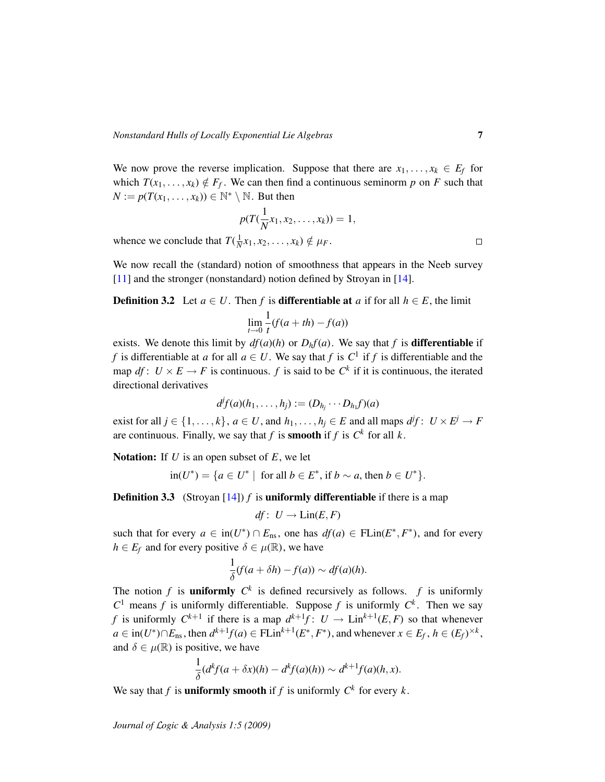We now prove the reverse implication. Suppose that there are  $x_1, \ldots, x_k \in E_f$  for which  $T(x_1, \ldots, x_k) \notin F_f$ . We can then find a continuous seminorm p on F such that  $N := p(T(x_1, \ldots, x_k)) \in \mathbb{N}^* \setminus \mathbb{N}$ . But then

$$
p(T(\frac{1}{N}x_1,x_2,\ldots,x_k))=1,
$$

whence we conclude that  $T(\frac{1}{N}x_1, x_2, \dots, x_k) \notin \mu_F$ .

We now recall the (standard) notion of smoothness that appears in the Neeb survey [\[11\]](#page-24-0) and the stronger (nonstandard) notion defined by Stroyan in [\[14\]](#page-24-2).

**Definition 3.2** Let  $a \in U$ . Then f is **differentiable at** a if for all  $h \in E$ , the limit

$$
\lim_{t \to 0} \frac{1}{t}(f(a+th) - f(a))
$$

exists. We denote this limit by  $df(a)(h)$  or  $D<sub>h</sub>f(a)$ . We say that *f* is **differentiable** if *f* is differentiable at *a* for all  $a \in U$ . We say that *f* is  $C^1$  if *f* is differentiable and the map *df* :  $U \times E \rightarrow F$  is continuous. *f* is said to be  $C^k$  if it is continuous, the iterated directional derivatives

$$
d^if(a)(h_1,\ldots,h_j):=(D_{h_j}\cdots D_{h_1}f)(a)
$$

exist for all  $j \in \{1, \ldots, k\}$ ,  $a \in U$ , and  $h_1, \ldots, h_j \in E$  and all maps  $d^j f: U \times E^j \to F$ are continuous. Finally, we say that *f* is **smooth** if *f* is  $C^k$  for all *k*.

Notation: If *U* is an open subset of *E*, we let

$$
\text{in}(U^*) = \{ a \in U^* \mid \text{ for all } b \in E^*, \text{ if } b \sim a, \text{ then } b \in U^* \}.
$$

**Definition 3.3** (Stroyan  $[14]$ ) *f* is **uniformly differentiable** if there is a map

$$
df\colon U\to \text{Lin}(E,F)
$$

such that for every  $a \in \text{in}(U^*) \cap E_{\text{ns}}$ , one has  $df(a) \in \text{FLin}(E^*, F^*)$ , and for every  $h \in E_f$  and for every positive  $\delta \in \mu(\mathbb{R})$ , we have

$$
\frac{1}{\delta}(f(a+\delta h)-f(a))\sim df(a)(h).
$$

The notion  $f$  is **uniformly**  $C^k$  is defined recursively as follows.  $f$  is uniformly  $C^1$  means *f* is uniformly differentiable. Suppose *f* is uniformly  $C^k$ . Then we say *f* is uniformly  $C^{k+1}$  if there is a map  $d^{k+1}f: U \to \text{Lin}^{k+1}(E, F)$  so that whenever  $a \in \text{in}(U^*) \cap E_{\text{ns}}$ , then  $d^{k+1}f(a) \in \text{FLin}^{k+1}(E^*, F^*)$ , and whenever  $x \in E_f$ ,  $h \in (E_f)^{\times k}$ , and  $\delta \in \mu(\mathbb{R})$  is positive, we have

$$
\frac{1}{\delta}(d^k f(a+\delta x)(h)-d^k f(a)(h))\sim d^{k+1} f(a)(h,x).
$$

We say that *f* is **uniformly smooth** if *f* is uniformly  $C^k$  for every  $k$ .

*Journal of* L*ogic &* A*nalysis 1:5 (2009)*

 $\Box$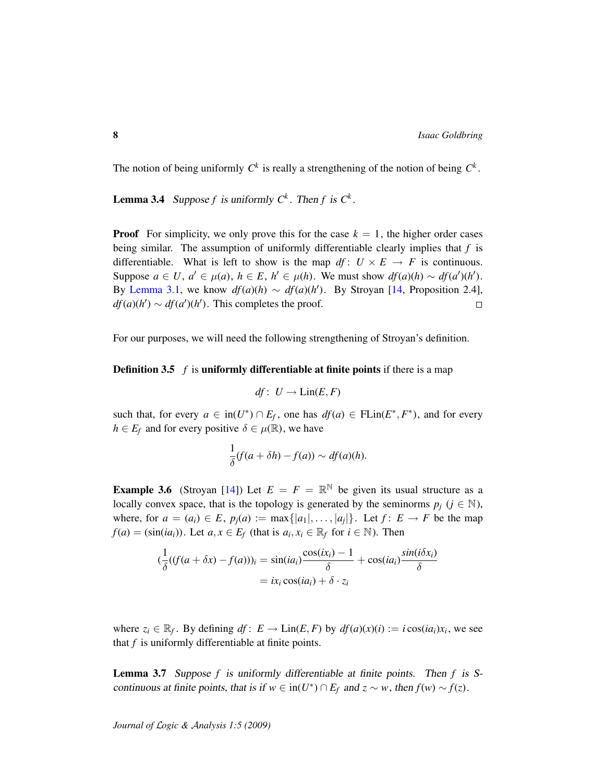The notion of being uniformly  $C^k$  is really a strengthening of the notion of being  $C^k$ .

**Lemma 3.4** Suppose f is uniformly  $C^k$ . Then f is  $C^k$ .

**Proof** For simplicity, we only prove this for the case  $k = 1$ , the higher order cases being similar. The assumption of uniformly differentiable clearly implies that *f* is differentiable. What is left to show is the map  $df: U \times E \rightarrow F$  is continuous. Suppose  $a \in U$ ,  $a' \in \mu(a)$ ,  $h \in E$ ,  $h' \in \mu(h)$ . We must show  $df(a)(h) \sim df(a')(h')$ . By [Lemma 3.1,](#page-5-0) we know  $df(a)(h) \sim df(a)(h')$ . By Stroyan [\[14,](#page-24-2) Proposition 2.4],  $df(a)(h') \sim df(a')(h')$ . This completes the proof.  $\Box$ 

For our purposes, we will need the following strengthening of Stroyan's definition.

### **Definition 3.5** *f* is uniformly differentiable at finite points if there is a map

$$
df\colon U\to \text{Lin}(E,F)
$$

such that, for every  $a \in \text{in}(U^*) \cap E_f$ , one has  $df(a) \in \text{FLin}(E^*, F^*)$ , and for every  $h \in E_f$  and for every positive  $\delta \in \mu(\mathbb{R})$ , we have

$$
\frac{1}{\delta}(f(a+\delta h)-f(a))\sim df(a)(h).
$$

<span id="page-7-0"></span>**Example 3.6** (Stroyan [\[14\]](#page-24-2)) Let  $E = F = \mathbb{R}^{\mathbb{N}}$  be given its usual structure as a locally convex space, that is the topology is generated by the seminorms  $p_j$  ( $j \in \mathbb{N}$ ), where, for  $a = (a_i) \in E$ ,  $p_j(a) := \max\{|a_1|, \ldots, |a_j|\}$ . Let  $f: E \to F$  be the map *f*(*a*) = (sin(*ia*<sub>*i*</sub>)). Let *a*, *x*  $\in$  *E<sub>f</sub>* (that is *a*<sub>*i*</sub>, *x*<sub>*i*</sub>  $\in$   $\mathbb{R}$ *f* for *i*  $\in$  N). Then

$$
(\frac{1}{\delta}((f(a+\delta x)-f(a)))_i = \sin(ia_i)\frac{\cos(ix_i)-1}{\delta} + \cos(ia_i)\frac{\sin(i\delta x_i)}{\delta}
$$

$$
= ix_i \cos(ia_i) + \delta \cdot z_i
$$

where  $z_i \in \mathbb{R}_f$ . By defining  $df: E \to \text{Lin}(E, F)$  by  $df(a)(x)(i) := i \cos(ia_i)x_i$ , we see that *f* is uniformly differentiable at finite points.

Lemma 3.7 Suppose *f* is uniformly differentiable at finite points. Then *f* is Scontinuous at finite points, that is if  $w \in in(U^*) \cap E_f$  and  $z \sim w$ , then  $f(w) \sim f(z)$ .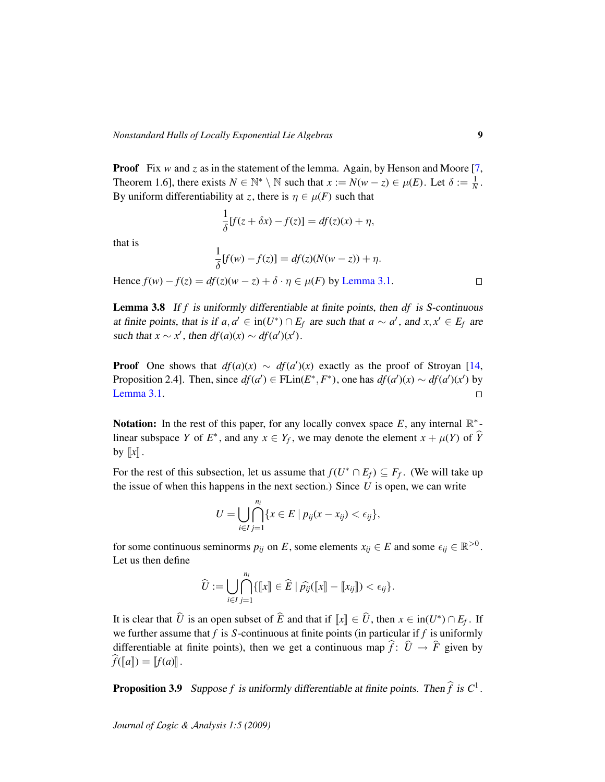**Proof** Fix *w* and *z* as in the statement of the lemma. Again, by Henson and Moore [\[7,](#page-23-4) Theorem 1.6], there exists  $N \in \mathbb{N}^* \setminus \mathbb{N}$  such that  $x := N(w - z) \in \mu(E)$ . Let  $\delta := \frac{1}{N}$ . By uniform differentiability at *z*, there is  $\eta \in \mu(F)$  such that

$$
\frac{1}{\delta}[f(z+\delta x)-f(z)]=df(z)(x)+\eta,
$$

that is

$$
\frac{1}{\delta}[f(w)-f(z)] = df(z)(N(w-z)) + \eta.
$$

Hence  $f(w) - f(z) = df(z)(w - z) + \delta \cdot \eta \in \mu(F)$  by [Lemma 3.1.](#page-5-0)

<span id="page-8-0"></span>Lemma 3.8 If *f* is uniformly differentiable at finite points, then *df* is S-continuous at finite points, that is if  $a, a' \in in(U^*) \cap E_f$  are such that  $a \sim a'$ , and  $x, x' \in E_f$  are such that  $x \sim x'$ , then  $df(a)(x) \sim df(a')(x')$ .

**Proof** One shows that  $df(a)(x) \sim df(a')(x)$  exactly as the proof of Stroyan [\[14,](#page-24-2) Proposition 2.4]. Then, since  $df(a') \in \text{FLin}(E^*, F^*)$ , one has  $df(a')(x) \sim df(a')(x')$  by [Lemma 3.1.](#page-5-0)  $\Box$ 

Notation: In the rest of this paper, for any locally convex space  $E$ , any internal  $\mathbb{R}^*$ linear subspace *Y* of  $E^*$ , and any  $x \in Y_f$ , we may denote the element  $x + \mu(Y)$  of  $\widehat{Y}$ by  $\llbracket x \rrbracket$ .

For the rest of this subsection, let us assume that  $f(U^* \cap E_f) \subseteq F_f$ . (We will take up the issue of when this happens in the next section.) Since *U* is open, we can write

$$
U=\bigcup_{i\in I}\bigcap_{j=1}^{n_i}\{x\in E\mid p_{ij}(x-x_{ij})<\epsilon_{ij}\},\
$$

for some continuous seminorms  $p_{ij}$  on *E*, some elements  $x_{ij} \in E$  and some  $\epsilon_{ij} \in \mathbb{R}^{>0}$ . Let us then define

$$
\widehat{U} := \bigcup_{i \in I} \bigcap_{j=1}^{n_i} \{ \llbracket x \rrbracket \in \widehat{E} \mid \widehat{p_{ij}}(\llbracket x \rrbracket - \llbracket x_{ij} \rrbracket) < \epsilon_{ij} \}.
$$

It is clear that  $\hat{U}$  is an open subset of  $\hat{E}$  and that if  $\llbracket x \rrbracket \in \hat{U}$ , then  $x \in \text{in}(U^*) \cap E_f$ . If we further assume that *f* is *S*-continuous at finite points (in particular if *f* is uniformly differentiable at finite points), then we get a continuous map  $\hat{f}$ :  $\hat{U} \rightarrow \hat{F}$  given by  $f(\llbracket a \rrbracket) = [f(a)]$ .

<span id="page-8-1"></span>**Proposition 3.9** Suppose f is uniformly differentiable at finite points. Then  $\hat{f}$  is  $C^1$ .

*Journal of* L*ogic &* A*nalysis 1:5 (2009)*

 $\Box$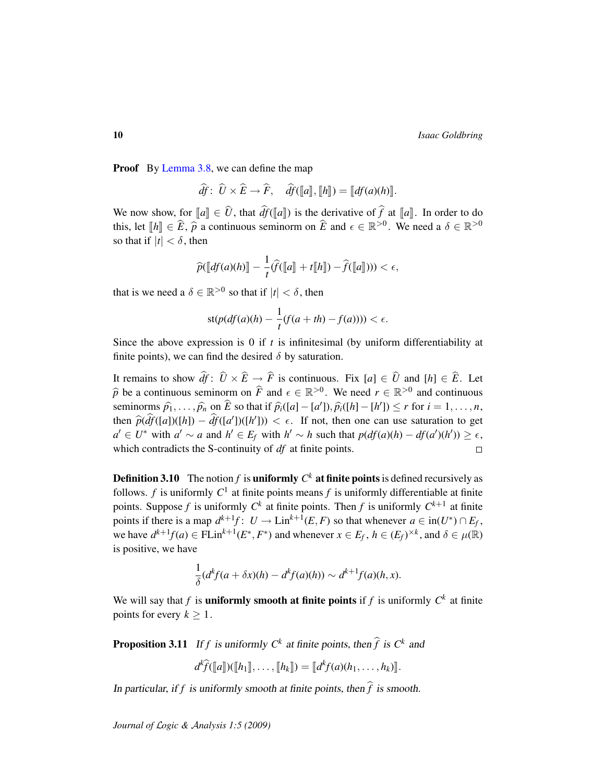Proof By [Lemma 3.8,](#page-8-0) we can define the map

 $\hat{df}$ :  $\hat{U} \times \hat{E} \rightarrow \hat{F}$ ,  $\hat{df}(\llbracket a \rrbracket, \llbracket h \rrbracket) = \llbracket df(a)(h) \rrbracket.$ 

We now show, for  $\llbracket a \rrbracket \in \widehat{U}$ , that  $\widehat{df}(\llbracket a \rrbracket)$  is the derivative of  $\widehat{f}$  at  $\llbracket a \rrbracket$ . In order to do this, let  $[h] \in \widehat{E}$ ,  $\widehat{p}$  a continuous seminorm on  $\widehat{E}$  and  $\epsilon \in \mathbb{R}^{>0}$ . We need a  $\delta \in \mathbb{R}^{>0}$ so that if  $|t| < \delta$ , then

$$
\widehat{p}(\llbracket df(a)(h) \rrbracket - \frac{1}{t} \widehat{f}(\llbracket a \rrbracket + t \llbracket h \rrbracket) - \widehat{f}(\llbracket a \rrbracket))) < \epsilon,
$$

that is we need a  $\delta \in \mathbb{R}^{>0}$  so that if  $|t| < \delta$ , then

$$
st(p(df(a)(h) - \frac{1}{t}(f(a+th) - f(a)))) < \epsilon.
$$

Since the above expression is 0 if *t* is infinitesimal (by uniform differentiability at finite points), we can find the desired  $\delta$  by saturation.

It remains to show  $\hat{df}$ :  $\hat{U} \times \hat{E} \rightarrow \hat{F}$  is continuous. Fix  $[a] \in \hat{U}$  and  $[h] \in \hat{E}$ . Let  $\widehat{p}$  be a continuous seminorm on  $\widehat{F}$  and  $\epsilon \in \mathbb{R}^{>0}$ . We need  $r \in \mathbb{R}^{>0}$  and continuous seminorms  $\widehat{p}_1, \ldots, \widehat{p}_n$  on  $\widehat{E}$  so that if  $\widehat{p}_i([a] - [a'])$ ,  $\widehat{p}_i([h] - [h']) \le r$  for  $i = 1, \ldots, n$ ,<br>then  $\widehat{E}(\widehat{E}(t-1))(L)$ then  $\hat{p}(\hat{d}f([a])([h]) - \hat{d}f([a'])([h']) < \epsilon$ . If not, then one can use saturation to get  $d \in U^*$  with  $d' = \text{const } h' \in F$  with  $h' = h$  such that  $g(d\zeta)(h) = d\zeta(d\zeta)(h) > \epsilon$ *a*<sup> $l ∈ *U*<sup>*</sup> with *a*<sup>′</sup> ∼ *a* and *h*<sup>′</sup> ∈ *E<sub>f</sub>* with *h*<sup>′</sup> ∼ *h* such that  $p(df(a)(h) - df(a')(h')) ≥ ε$ ,$ which contradicts the S-continuity of *df* at finite points.  $\Box$ 

**Definition 3.10** The notion  $f$  is **uniformly**  $C^k$  at finite points is defined recursively as follows.  $f$  is uniformly  $C^1$  at finite points means  $f$  is uniformly differentiable at finite points. Suppose f is uniformly  $C^k$  at finite points. Then f is uniformly  $C^{k+1}$  at finite points if there is a map  $d^{k+1}f$ :  $U \to \text{Lin}^{k+1}(E, F)$  so that whenever  $a \in \text{in}(U^*) \cap E_f$ , we have  $d^{k+1}f(a) \in \text{FLin}^{k+1}(E^*, F^*)$  and whenever  $x \in E_f$ ,  $h \in (E_f)^{\times k}$ , and  $\delta \in \mu(\mathbb{R})$ is positive, we have

$$
\frac{1}{\delta}(d^k f(a+\delta x)(h)-d^k f(a)(h))\sim d^{k+1} f(a)(h,x).
$$

We will say that  $f$  is **uniformly smooth at finite points** if  $f$  is uniformly  $C^k$  at finite points for every  $k \geq 1$ .

<span id="page-9-0"></span>**Proposition 3.11** If *f* is uniformly  $C^k$  at finite points, then  $\hat{f}$  is  $C^k$  and

$$
d^k\widehat{f}(\llbracket a\rrbracket)(\llbracket h_1\rrbracket,\ldots,\llbracket h_k\rrbracket)=\llbracket d^k f(a)(h_1,\ldots,h_k)\rrbracket.
$$

In particular, if f is uniformly smooth at finite points, then  $\hat{f}$  is smooth.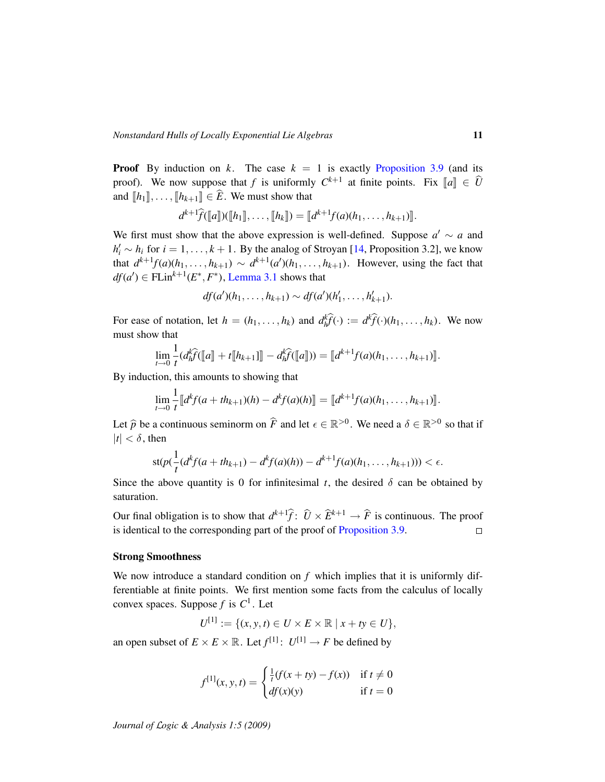**Proof** By induction on *k*. The case  $k = 1$  is exactly [Proposition 3.9](#page-8-1) (and its proof). We now suppose that *f* is uniformly  $C^{k+1}$  at finite points. Fix  $[[a]] \in \widehat{U}$ and  $[[h_1]]$ , ...,  $[[h_{k+1}]] \in \widehat{E}$ . We must show that

$$
d^{k+1}\widehat{f}(\llbracket a \rrbracket)(\llbracket h_1 \rrbracket, \ldots, \llbracket h_k \rrbracket) = \llbracket d^{k+1}f(a)(h_1, \ldots, h_{k+1}) \rrbracket.
$$

We first must show that the above expression is well-defined. Suppose  $a' \sim a$  and  $h'_i \sim h_i$  for  $i = 1, \ldots, k + 1$ . By the analog of Stroyan [\[14,](#page-24-2) Proposition 3.2], we know that  $d^{k+1}f(a)(h_1, \ldots, h_{k+1}) \sim d^{k+1}(a')(h_1, \ldots, h_{k+1})$ . However, using the fact that  $df(a') \in \text{FLin}^{k+1}(E^*, F^*)$ , [Lemma 3.1](#page-5-0) shows that

$$
df(a')(h_1, ..., h_{k+1}) \sim df(a')(h'_1, ..., h'_{k+1}).
$$

For ease of notation, let  $h = (h_1, \ldots, h_k)$  and  $d_h^k \hat{f}(\cdot) := d^k \hat{f}(\cdot)(h_1, \ldots, h_k)$ . We now must show that

$$
\lim_{t\to 0}\frac{1}{t}(d_h^k\widehat{f}(\llbracket a\rrbracket+t\llbracket h_{k+1}\rrbracket - d_h^k\widehat{f}(\llbracket a\rrbracket))=\llbracket d^{k+1}f(a)(h_1,\ldots,h_{k+1})\rrbracket.
$$

By induction, this amounts to showing that

$$
\lim_{t\to 0}\frac{1}{t}\big[d^k f(a+th_{k+1})(h)-d^k f(a)(h)\big]=\big[d^{k+1} f(a)(h_1,\ldots,h_{k+1})\big].
$$

Let  $\hat{p}$  be a continuous seminorm on  $\hat{F}$  and let  $\epsilon \in \mathbb{R}^{>0}$ . We need a  $\delta \in \mathbb{R}^{>0}$  so that if  $|t| < \delta$ , then

$$
st(p(\frac{1}{t}(d^k f(a+th_{k+1})-d^k f(a)(h))-d^{k+1} f(a)(h_1,\ldots,h_{k+1})))<\epsilon.
$$

Since the above quantity is 0 for infinitesimal *t*, the desired  $\delta$  can be obtained by saturation.

Our final obligation is to show that  $d^{k+1}\hat{f}$ :  $\hat{U} \times \hat{E}^{k+1} \rightarrow \hat{F}$  is continuous. The proof is identical to the corresponding part of the proof of [Proposition 3.9.](#page-8-1)

#### Strong Smoothness

We now introduce a standard condition on *f* which implies that it is uniformly differentiable at finite points. We first mention some facts from the calculus of locally convex spaces. Suppose *f* is *C* 1 . Let

$$
U^{[1]} := \{ (x, y, t) \in U \times E \times \mathbb{R} \mid x + ty \in U \},\
$$

an open subset of  $E \times E \times \mathbb{R}$ . Let  $f^{[1]}$ :  $U^{[1]} \to F$  be defined by

$$
f^{[1]}(x, y, t) = \begin{cases} \frac{1}{t}(f(x + ty) - f(x)) & \text{if } t \neq 0\\ df(x)(y) & \text{if } t = 0 \end{cases}
$$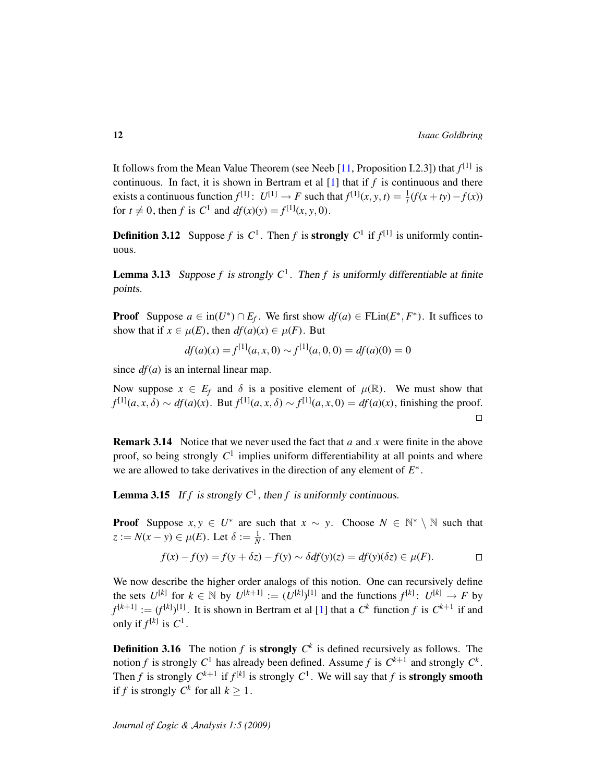It follows from the Mean Value Theorem (see Neeb [\[11,](#page-24-0) Proposition I.2.3]) that *f* [1] is continuous. In fact, it is shown in Bertram et al [\[1\]](#page-23-5) that if *f* is continuous and there exists a continuous function  $f^{[1]}$ :  $U^{[1]} \rightarrow F$  such that  $f^{[1]}(x, y, t) = \frac{1}{t}(f(x + ty) - f(x))$ for  $t \neq 0$ , then *f* is  $C^1$  and  $df(x)(y) = f^{[1]}(x, y, 0)$ .

**Definition 3.12** Suppose *f* is  $C^1$ . Then *f* is **strongly**  $C^1$  if  $f^{[1]}$  is uniformly continuous.

<span id="page-11-0"></span>**Lemma 3.13** Suppose f is strongly  $C^1$ . Then f is uniformly differentiable at finite points.

**Proof** Suppose  $a \in \text{in}(U^*) \cap E_f$ . We first show  $df(a) \in \text{FLin}(E^*, F^*)$ . It suffices to show that if  $x \in \mu(E)$ , then  $df(a)(x) \in \mu(F)$ . But

$$
df(a)(x) = f[1](a, x, 0) \sim f[1](a, 0, 0) = df(a)(0) = 0
$$

since  $df(a)$  is an internal linear map.

Now suppose  $x \in E_f$  and  $\delta$  is a positive element of  $\mu(\mathbb{R})$ . We must show that *f*<sup>[1]</sup>(*a*, *x*,  $\delta$ ) ∼ *df*(*a*)(*x*). But *f*<sup>[1]</sup>(*a*, *x*,  $\delta$ ) ∼ *f*<sup>[1]</sup>(*a*, *x*, 0) = *df*(*a*)(*x*), finishing the proof.  $\Box$ 

Remark 3.14 Notice that we never used the fact that *a* and *x* were finite in the above proof, so being strongly  $C^1$  implies uniform differentiability at all points and where we are allowed to take derivatives in the direction of any element of *E* ∗ .

<span id="page-11-1"></span>**Lemma 3.15** If  $f$  is strongly  $C^1$ , then  $f$  is uniformly continuous.

**Proof** Suppose  $x, y \in U^*$  are such that  $x \sim y$ . Choose  $N \in \mathbb{N}^* \setminus \mathbb{N}$  such that  $z := N(x - y) \in \mu(E)$ . Let  $\delta := \frac{1}{N}$ . Then

$$
f(x) - f(y) = f(y + \delta z) - f(y) \sim \delta df(y)(z) = df(y)(\delta z) \in \mu(F).
$$

We now describe the higher order analogs of this notion. One can recursively define the sets  $U^{[k]}$  for  $k \in \mathbb{N}$  by  $U^{[k+1]} := (U^{[k]})^{[1]}$  and the functions  $f^{[k]} : U^{[k]} \to F$  by  $f^{[k+1]} := (f^{[k]})^{[1]}$  $f^{[k+1]} := (f^{[k]})^{[1]}$  $f^{[k+1]} := (f^{[k]})^{[1]}$ . It is shown in Bertram et al [1] that a  $C^k$  function  $f$  is  $C^{k+1}$  if and only if  $f^{[k]}$  is  $C^1$ .

**Definition 3.16** The notion f is **strongly**  $C^k$  is defined recursively as follows. The notion *f* is strongly  $C^1$  has already been defined. Assume *f* is  $C^{k+1}$  and strongly  $C^k$ . Then *f* is strongly  $C^{k+1}$  if  $f^{[k]}$  is strongly  $C^1$ . We will say that *f* is **strongly smooth** if *f* is strongly  $C^k$  for all  $k \geq 1$ .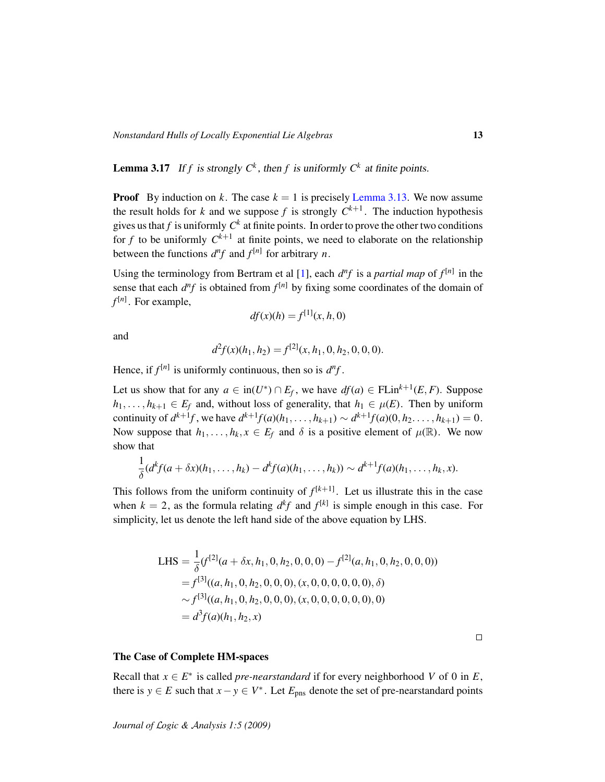<span id="page-12-0"></span>**Lemma 3.17** If *f* is strongly  $C^k$ , then *f* is uniformly  $C^k$  at finite points.

**Proof** By induction on k. The case  $k = 1$  is precisely [Lemma 3.13.](#page-11-0) We now assume the result holds for *k* and we suppose *f* is strongly  $C^{k+1}$ . The induction hypothesis gives us that *f* is uniformly  $C^k$  at finite points. In order to prove the other two conditions for  $f$  to be uniformly  $C^{k+1}$  at finite points, we need to elaborate on the relationship between the functions  $d^n f$  and  $f^{[n]}$  for arbitrary *n*.

Using the terminology from Bertram et al [\[1\]](#page-23-5), each  $d^n f$  is a *partial map* of  $f^{[n]}$  in the sense that each  $d^n f$  is obtained from  $f^{[n]}$  by fixing some coordinates of the domain of *f* [*n*] . For example,

$$
df(x)(h) = f^{[1]}(x, h, 0)
$$

and

$$
d^2f(x)(h_1, h_2) = f^{[2]}(x, h_1, 0, h_2, 0, 0, 0).
$$

Hence, if  $f^{[n]}$  is uniformly continuous, then so is  $d^n f$ .

Let us show that for any  $a \in \text{in}(U^*) \cap E_f$ , we have  $df(a) \in \text{FLin}^{k+1}(E, F)$ . Suppose *h*<sub>1</sub>, . . . , *h*<sub>*k*+1</sub> ∈ *E<sub>f</sub>* and, without loss of generality, that *h*<sub>1</sub> ∈  $\mu$ (*E*). Then by uniform continuity of  $d^{k+1}f$ , we have  $d^{k+1}f(a)(h_1, ..., h_{k+1}) \sim d^{k+1}f(a)(0, h_2, ..., h_{k+1}) = 0$ . Now suppose that  $h_1, \ldots, h_k, x \in E_f$  and  $\delta$  is a positive element of  $\mu(\mathbb{R})$ . We now show that

$$
\frac{1}{\delta}(d^k f(a+\delta x)(h_1,\ldots,h_k)-d^k f(a)(h_1,\ldots,h_k))\sim d^{k+1} f(a)(h_1,\ldots,h_k,x).
$$

This follows from the uniform continuity of  $f^{[k+1]}$ . Let us illustrate this in the case when  $k = 2$ , as the formula relating  $d^k f$  and  $f^{[k]}$  is simple enough in this case. For simplicity, let us denote the left hand side of the above equation by LHS.

LHS = 
$$
\frac{1}{\delta}
$$
( $f^{[2]}(a + \delta x, h_1, 0, h_2, 0, 0, 0) - f^{[2]}(a, h_1, 0, h_2, 0, 0, 0)$ )  
\n=  $f^{[3]}((a, h_1, 0, h_2, 0, 0, 0), (x, 0, 0, 0, 0, 0, 0), \delta)$   
\n $\sim f^{[3]}((a, h_1, 0, h_2, 0, 0, 0), (x, 0, 0, 0, 0, 0, 0), 0)$   
\n=  $d^3 f(a)(h_1, h_2, x)$ 

The Case of Complete HM-spaces

Recall that  $x \in E^*$  is called *pre-nearstandard* if for every neighborhood *V* of 0 in *E*, there is  $y \in E$  such that  $x - y \in V^*$ . Let  $E_{\text{pns}}$  denote the set of pre-nearstandard points

 $\Box$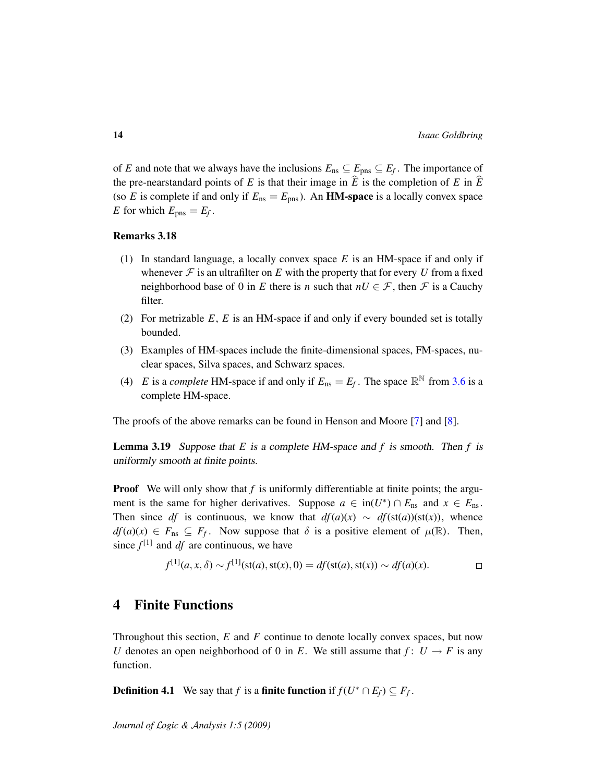of *E* and note that we always have the inclusions  $E_{\text{ns}} \subseteq E_{\text{pns}} \subseteq E_f$ . The importance of the pre-nearstandard points of *E* is that their image in  $\hat{E}$  is the completion of *E* in  $\hat{E}$ (so *E* is complete if and only if  $E_{\text{ns}} = E_{\text{pns}}$ ). An **HM-space** is a locally convex space *E* for which  $E_{\text{pns}} = E_f$ .

#### Remarks 3.18

- (1) In standard language, a locally convex space *E* is an HM-space if and only if whenever  $\mathcal F$  is an ultrafilter on  $E$  with the property that for every  $U$  from a fixed neighborhood base of 0 in *E* there is *n* such that  $nU \in \mathcal{F}$ , then  $\mathcal{F}$  is a Cauchy filter.
- (2) For metrizable *E*, *E* is an HM-space if and only if every bounded set is totally bounded.
- (3) Examples of HM-spaces include the finite-dimensional spaces, FM-spaces, nuclear spaces, Silva spaces, and Schwarz spaces.
- (4) *E* is a *complete* HM-space if and only if  $E_{\text{ns}} = E_f$ . The space  $\mathbb{R}^{\mathbb{N}}$  from [3.6](#page-7-0) is a complete HM-space.

The proofs of the above remarks can be found in Henson and Moore [\[7\]](#page-23-4) and [\[8\]](#page-23-6).

<span id="page-13-0"></span>Lemma 3.19 Suppose that *E* is a complete HM-space and *f* is smooth. Then *f* is uniformly smooth at finite points.

**Proof** We will only show that *f* is uniformly differentiable at finite points; the argument is the same for higher derivatives. Suppose  $a \in \text{in}(U^*) \cap E_{\text{ns}}$  and  $x \in E_{\text{ns}}$ . Then since *df* is continuous, we know that  $df(a)(x) \sim df(st(a))(st(x))$ , whence  $df(a)(x) \in F_{\text{ns}} \subseteq F_f$ . Now suppose that  $\delta$  is a positive element of  $\mu(\mathbb{R})$ . Then, since  $f^{[1]}$  and *df* are continuous, we have

$$
f^{[1]}(a, x, \delta) \sim f^{[1]}(\text{st}(a), \text{st}(x), 0) = df(\text{st}(a), \text{st}(x)) \sim df(a)(x).
$$

# 4 Finite Functions

Throughout this section, *E* and *F* continue to denote locally convex spaces, but now *U* denotes an open neighborhood of 0 in *E*. We still assume that  $f: U \rightarrow F$  is any function.

**Definition 4.1** We say that *f* is a **finite function** if  $f(U^* \cap E_f) \subseteq F_f$ .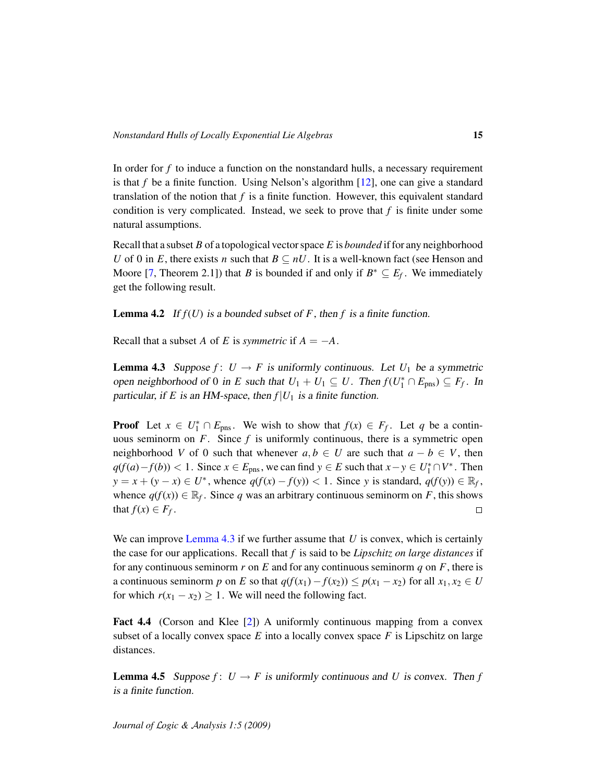In order for  $f$  to induce a function on the nonstandard hulls, a necessary requirement is that *f* be a finite function. Using Nelson's algorithm [\[12\]](#page-24-3), one can give a standard translation of the notion that *f* is a finite function. However, this equivalent standard condition is very complicated. Instead, we seek to prove that  $f$  is finite under some natural assumptions.

Recall that a subset *B* of a topological vector space *E* is *bounded* if for any neighborhood *U* of 0 in *E*, there exists *n* such that  $B \subseteq nU$ . It is a well-known fact (see Henson and Moore [\[7,](#page-23-4) Theorem 2.1]) that *B* is bounded if and only if  $B^* \subseteq E_f$ . We immediately get the following result.

**Lemma 4.2** If  $f(U)$  is a bounded subset of F, then f is a finite function.

Recall that a subset *A* of *E* is *symmetric* if  $A = -A$ .

<span id="page-14-0"></span>**Lemma 4.3** Suppose  $f: U \to F$  is uniformly continuous. Let  $U_1$  be a symmetric open neighborhood of 0 in *E* such that  $U_1 + U_1 \subseteq U$ . Then  $f(U_1^* \cap E_{\text{pns}}) \subseteq F_f$ . In particular, if *E* is an HM-space, then  $f|U_1$  is a finite function.

**Proof** Let  $x \in U_1^* \cap E_{\text{pns}}$ . We wish to show that  $f(x) \in F_f$ . Let *q* be a continuous seminorm on  $F$ . Since  $f$  is uniformly continuous, there is a symmetric open neighborhood *V* of 0 such that whenever  $a, b \in U$  are such that  $a - b \in V$ , then *q*(*f*(*a*)−*f*(*b*)) < 1. Since *x* ∈ *E*<sub>pns</sub>, we can find *y* ∈ *E* such that  $x - y \in U_1^* \cap V^*$ . Then  $y = x + (y - x) \in U^*$ , whence  $q(f(x) - f(y)) < 1$ . Since *y* is standard,  $q(f(y)) \in \mathbb{R}_f$ , whence  $q(f(x)) \in \mathbb{R}_f$ . Since q was an arbitrary continuous seminorm on F, this shows that  $f(x) \in F_f$ .  $\Box$ 

We can improve [Lemma 4.3](#page-14-0) if we further assume that *U* is convex, which is certainly the case for our applications. Recall that *f* is said to be *Lipschitz on large distances* if for any continuous seminorm  $r$  on  $E$  and for any continuous seminorm  $q$  on  $F$ , there is a continuous seminorm *p* on *E* so that  $q(f(x_1) - f(x_2)) \leq p(x_1 - x_2)$  for all  $x_1, x_2 \in U$ for which  $r(x_1 - x_2) \ge 1$ . We will need the following fact.

Fact 4.4 (Corson and Klee [\[2\]](#page-23-7)) A uniformly continuous mapping from a convex subset of a locally convex space  $E$  into a locally convex space  $F$  is Lipschitz on large distances.

<span id="page-14-1"></span>**Lemma 4.5** Suppose  $f: U \to F$  is uniformly continuous and *U* is convex. Then *f* is a finite function.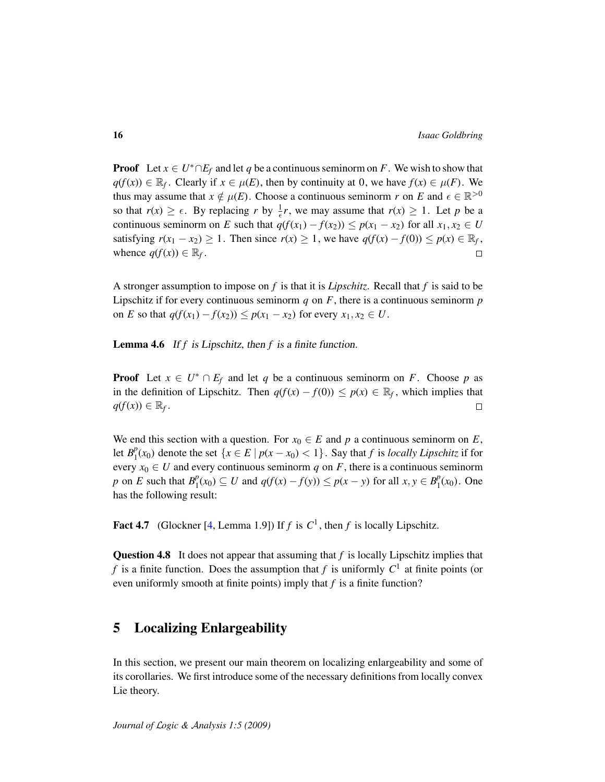**Proof** Let  $x \in U^* \cap E_f$  and let q be a continuous seminorm on F. We wish to show that *q*(*f*(*x*)) ∈  $\mathbb{R}_f$ . Clearly if *x* ∈  $\mu$ (*E*), then by continuity at 0, we have *f*(*x*) ∈  $\mu$ (*F*). We thus may assume that  $x \notin \mu(E)$ . Choose a continuous seminorm *r* on *E* and  $\epsilon \in \mathbb{R}^{>0}$ so that  $r(x) \ge \epsilon$ . By replacing *r* by  $\frac{1}{\epsilon}r$ , we may assume that  $r(x) \ge 1$ . Let *p* be a continuous seminorm on *E* such that  $q(f(x_1) - f(x_2)) \leq p(x_1 - x_2)$  for all  $x_1, x_2 \in U$ satisfying  $r(x_1 - x_2) \ge 1$ . Then since  $r(x) \ge 1$ , we have  $q(f(x) - f(0)) \le p(x) \in \mathbb{R}_f$ , whence  $q(f(x)) \in \mathbb{R}_f$ .  $\Box$ 

A stronger assumption to impose on *f* is that it is *Lipschitz*. Recall that *f* is said to be Lipschitz if for every continuous seminorm  $q$  on  $F$ , there is a continuous seminorm  $p$ on *E* so that  $q(f(x_1) - f(x_2)) \leq p(x_1 - x_2)$  for every  $x_1, x_2 \in U$ .

Lemma 4.6 If *f* is Lipschitz, then *f* is a finite function.

**Proof** Let  $x \in U^* \cap E_f$  and let q be a continuous seminorm on F. Choose p as in the definition of Lipschitz. Then  $q(f(x) - f(0)) \leq p(x) \in \mathbb{R}_f$ , which implies that  $q(f(x)) \in \mathbb{R}_f$ .  $\Box$ 

We end this section with a question. For  $x_0 \in E$  and p a continuous seminorm on E, let  $B_1^p$  $\int_{1}^{p}(x_0)$  denote the set  $\{x \in E \mid p(x - x_0) < 1\}$ . Say that *f* is *locally Lipschitz* if for every  $x_0 \in U$  and every continuous seminorm q on F, there is a continuous seminorm *p* on *E* such that  $B_1^p$  $P_1(x_0)$  ⊆ *U* and  $q(f(x) - f(y))$  ≤  $p(x - y)$  for all  $x, y \in B_1^p$  $_{1}^{p}(x_{0})$ . One has the following result:

Fact 4.7 (Glockner [\[4,](#page-23-8) Lemma 1.9]) If  $f$  is  $C<sup>1</sup>$ , then  $f$  is locally Lipschitz.

Question 4.8 It does not appear that assuming that *f* is locally Lipschitz implies that *f* is a finite function. Does the assumption that *f* is uniformly  $C^1$  at finite points (or even uniformly smooth at finite points) imply that *f* is a finite function?

# 5 Localizing Enlargeability

In this section, we present our main theorem on localizing enlargeability and some of its corollaries. We first introduce some of the necessary definitions from locally convex Lie theory.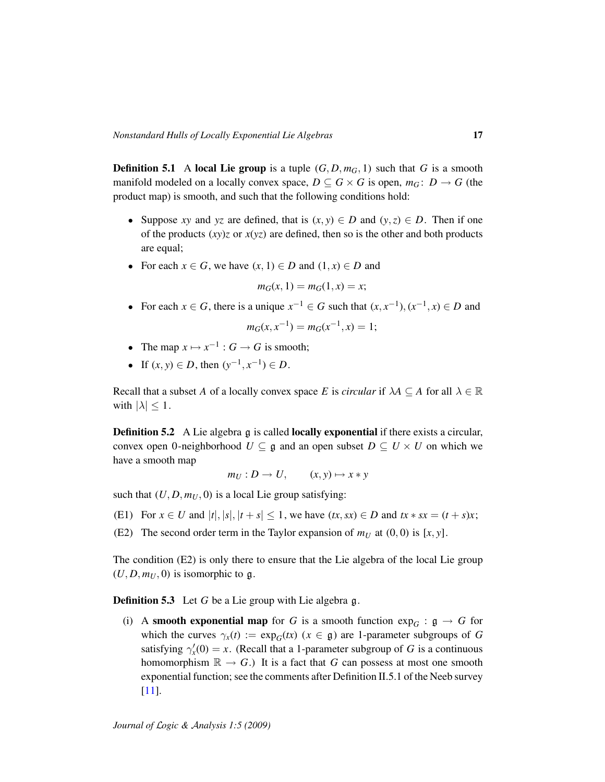**Definition 5.1** A local Lie group is a tuple  $(G, D, m_G, 1)$  such that *G* is a smooth manifold modeled on a locally convex space,  $D \subseteq G \times G$  is open,  $m_G: D \to G$  (the product map) is smooth, and such that the following conditions hold:

- Suppose *xy* and *yz* are defined, that is  $(x, y) \in D$  and  $(y, z) \in D$ . Then if one of the products  $(xy)z$  or  $x(yz)$  are defined, then so is the other and both products are equal;
- For each  $x \in G$ , we have  $(x, 1) \in D$  and  $(1, x) \in D$  and

$$
m_G(x, 1) = m_G(1, x) = x;
$$

- For each  $x \in G$ , there is a unique  $x^{-1} \in G$  such that  $(x, x^{-1})$ ,  $(x^{-1}, x) \in D$  and  $m_G(x, x^{-1}) = m_G(x^{-1}, x) = 1;$
- The map  $x \mapsto x^{-1}$ :  $G \to G$  is smooth;
- If  $(x, y) \in D$ , then  $(y^{-1}, x^{-1}) \in D$ .

Recall that a subset *A* of a locally convex space *E* is *circular* if  $\lambda A \subseteq A$  for all  $\lambda \in \mathbb{R}$ with  $|\lambda| \leq 1$ .

<span id="page-16-0"></span>**Definition 5.2** A Lie algebra g is called **locally exponential** if there exists a circular, convex open 0-neighborhood  $U \subseteq \mathfrak{g}$  and an open subset  $D \subseteq U \times U$  on which we have a smooth map

$$
m_U: D \to U, \qquad (x, y) \mapsto x * y
$$

such that  $(U, D, m_U, 0)$  is a local Lie group satisfying:

- (E1) For  $x \in U$  and  $|t|, |s|, |t + s| \leq 1$ , we have  $(tx, sx) \in D$  and  $tx * sx = (t + s)x$ ;
- (E2) The second order term in the Taylor expansion of  $m_U$  at (0,0) is [x, y].

The condition (E2) is only there to ensure that the Lie algebra of the local Lie group  $(U, D, m_U, 0)$  is isomorphic to g.

Definition 5.3 Let *G* be a Lie group with Lie algebra g.

(i) A smooth exponential map for *G* is a smooth function  $\exp_G$ :  $\mathfrak{g} \to G$  for which the curves  $\gamma_x(t) := \exp_G(tx)$  ( $x \in \mathfrak{g}$ ) are 1-parameter subgroups of *G* satisfying  $\gamma'_x(0) = x$ . (Recall that a 1-parameter subgroup of *G* is a continuous homomorphism  $\mathbb{R} \to G$ .) It is a fact that *G* can possess at most one smooth exponential function; see the comments after Definition II.5.1 of the Neeb survey [\[11\]](#page-24-0).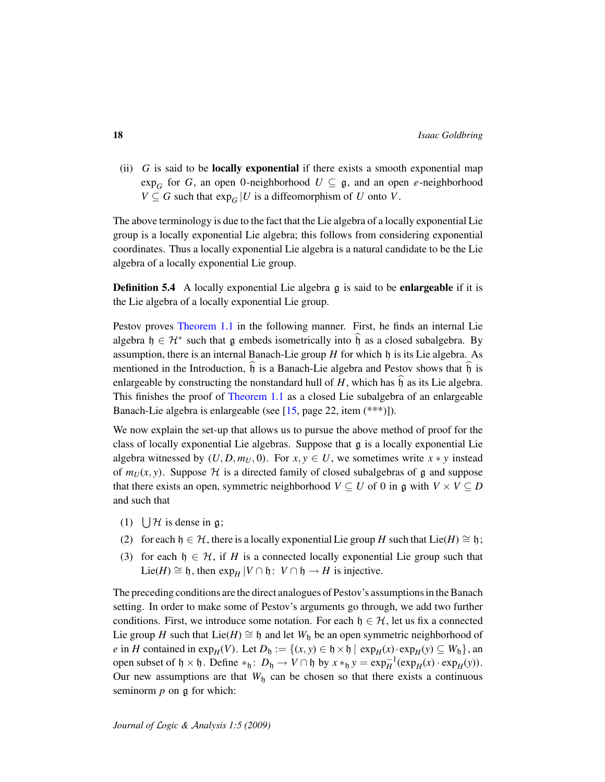(ii) *G* is said to be locally exponential if there exists a smooth exponential map  $\exp_G$  for *G*, an open 0-neighborhood  $U \subseteq \mathfrak{g}$ , and an open *e*-neighborhood *V* ⊆ *G* such that  $exp_G$  |*U* is a diffeomorphism of *U* onto *V*.

The above terminology is due to the fact that the Lie algebra of a locally exponential Lie group is a locally exponential Lie algebra; this follows from considering exponential coordinates. Thus a locally exponential Lie algebra is a natural candidate to be the Lie algebra of a locally exponential Lie group.

**Definition 5.4** A locally exponential Lie algebra g is said to be **enlargeable** if it is the Lie algebra of a locally exponential Lie group.

Pestov proves [Theorem 1.1](#page-1-0) in the following manner. First, he finds an internal Lie algebra  $\mathfrak{h} \in \mathcal{H}^*$  such that  $\mathfrak g$  embeds isometrically into  $\mathfrak{h}$  as a closed subalgebra. By assumption, there is an internal Banach-Lie group  $H$  for which  $\mathfrak h$  is its Lie algebra. As mentioned in the Introduction,  $\mathfrak h$  is a Banach-Lie algebra and Pestov shows that  $\mathfrak h$  is enlargeable by constructing the nonstandard hull of  $H$ , which has  $\hat{h}$  as its Lie algebra. This finishes the proof of [Theorem 1.1](#page-1-0) as a closed Lie subalgebra of an enlargeable Banach-Lie algebra is enlargeable (see [\[15,](#page-24-4) page 22, item (\*\*\*)]).

We now explain the set-up that allows us to pursue the above method of proof for the class of locally exponential Lie algebras. Suppose that g is a locally exponential Lie algebra witnessed by  $(U, D, m_U, 0)$ . For  $x, y \in U$ , we sometimes write  $x * y$  instead of  $m_U(x, y)$ . Suppose  $H$  is a directed family of closed subalgebras of g and suppose that there exists an open, symmetric neighborhood  $V \subseteq U$  of 0 in g with  $V \times V \subseteq D$ and such that

- (1)  $\bigcup \mathcal{H}$  is dense in g;
- (2) for each  $h \in \mathcal{H}$ , there is a locally exponential Lie group *H* such that Lie(*H*)  $\cong h$ ;
- (3) for each  $h \in H$ , if *H* is a connected locally exponential Lie group such that Lie(*H*) ≅ h, then  $\exp_H |V \cap \mathfrak{h}: V \cap \mathfrak{h} \to H$  is injective.

The preceding conditions are the direct analogues of Pestov's assumptions in the Banach setting. In order to make some of Pestov's arguments go through, we add two further conditions. First, we introduce some notation. For each  $\mathfrak{h} \in \mathcal{H}$ , let us fix a connected Lie group *H* such that Lie(*H*)  $\cong$  h and let *W*<sub>h</sub> be an open symmetric neighborhood of *e* in *H* contained in  $\exp_H(V)$ . Let  $D_\mathfrak{h} := \{(x, y) \in \mathfrak{h} \times \mathfrak{h} \mid \exp_H(x) \cdot \exp_H(y) \subseteq W_\mathfrak{h}\}\)$ , an open subset of  $\mathfrak{h} \times \mathfrak{h}$ . Define  $*_\mathfrak{h}$ :  $D_\mathfrak{h} \to V \cap \mathfrak{h}$  by  $x *_\mathfrak{h} y = \exp_H^{-1}(\exp_H(x) \cdot \exp_H(y))$ . Our new assumptions are that  $W<sub>h</sub>$  can be chosen so that there exists a continuous seminorm *p* on g for which: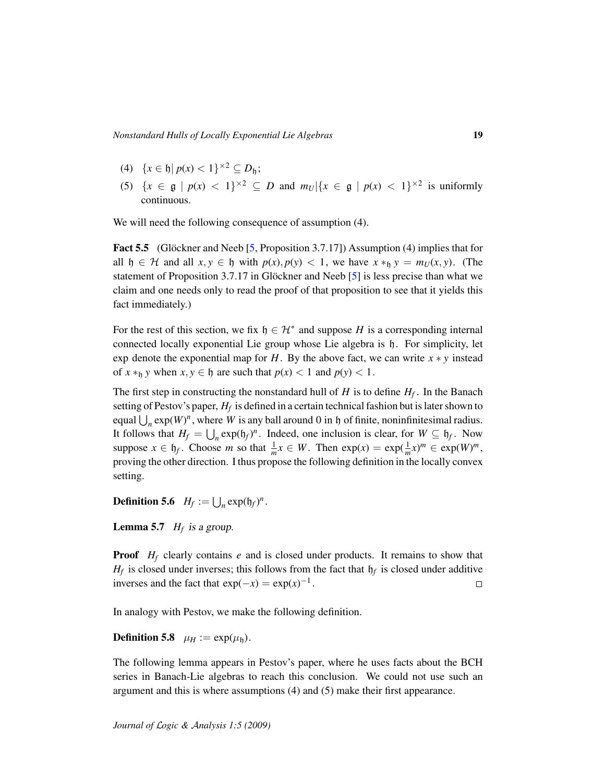- (4)  $\{x \in \mathfrak{h} | p(x) < 1\}^{\times 2} \subseteq D_{\mathfrak{h}};$
- (5)  $\{x \in \mathfrak{g} \mid p(x) < 1\}^{\times 2} \subseteq D$  and  $m_U | \{x \in \mathfrak{g} \mid p(x) < 1\}^{\times 2}$  is uniformly continuous.

We will need the following consequence of assumption (4).

**Fact 5.5** (Glöckner and Neeb [[5,](#page-23-9) Proposition 3.7.17]) Assumption (4) implies that for all  $\mathfrak{h} \in \mathcal{H}$  and all  $x, y \in \mathfrak{h}$  with  $p(x), p(y) < 1$ , we have  $x *_{\mathfrak{h}} y = m_U(x, y)$ . (The statement of Proposition 3.7.17 in Glöckner and Neeb  $[5]$  $[5]$  is less precise than what we claim and one needs only to read the proof of that proposition to see that it yields this fact immediately.)

For the rest of this section, we fix  $h \in \mathcal{H}^*$  and suppose *H* is a corresponding internal connected locally exponential Lie group whose Lie algebra is h. For simplicity, let exp denote the exponential map for  $H$ . By the above fact, we can write  $x * y$  instead of  $x *_{h} y$  when  $x, y \in \mathfrak{h}$  are such that  $p(x) < 1$  and  $p(y) < 1$ .

The first step in constructing the nonstandard hull of *H* is to define *H<sup>f</sup>* . In the Banach setting of Pestov's paper, *H<sup>f</sup>* is defined in a certain technical fashion but is later shown to equal  $\bigcup_n \exp(W)^n$ , where *W* is any ball around 0 in h of finite, noninfinitesimal radius. It follows that  $H_f = \bigcup_n \exp(\mathfrak{h}_f)^n$ . Indeed, one inclusion is clear, for  $W \subseteq \mathfrak{h}_f$ . Now suppose  $x \in \mathfrak{h}_f$ . Choose *m* so that  $\frac{1}{m}x \in W$ . Then  $\exp(x) = \exp(\frac{1}{m}x)^m \in \exp(W)^m$ , proving the other direction. I thus propose the following definition in the locally convex setting.

**Definition 5.6**  $H_f := \bigcup_n \exp(\mathfrak{h}_f)^n$ .

**Lemma 5.7**  $H_f$  is a group.

**Proof** *H<sub>f</sub>* clearly contains *e* and is closed under products. It remains to show that  $H_f$  is closed under inverses; this follows from the fact that  $h_f$  is closed under additive inverses and the fact that  $exp(-x) = exp(x)^{-1}$ .  $\Box$ 

In analogy with Pestov, we make the following definition.

**Definition 5.8**  $\mu_H := \exp(\mu_h)$ .

The following lemma appears in Pestov's paper, where he uses facts about the BCH series in Banach-Lie algebras to reach this conclusion. We could not use such an argument and this is where assumptions (4) and (5) make their first appearance.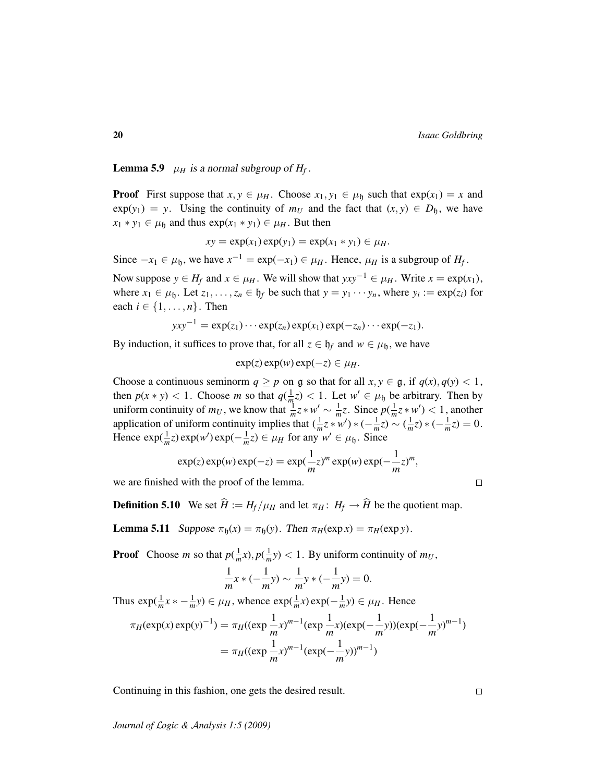**Lemma 5.9**  $\mu_H$  is a normal subgroup of  $H_f$ .

**Proof** First suppose that  $x, y \in \mu_H$ . Choose  $x_1, y_1 \in \mu_h$  such that  $exp(x_1) = x$  and  $\exp(y_1) = y$ . Using the continuity of  $m_U$  and the fact that  $(x, y) \in D_h$ , we have  $x_1 * y_1 \in \mu_{\mathfrak{h}}$  and thus  $exp(x_1 * y_1) \in \mu_H$ . But then

$$
xy = \exp(x_1)\exp(y_1) = \exp(x_1 * y_1) \in \mu_H.
$$

Since  $-x_1 \in \mu_{\mathfrak{h}}$ , we have  $x^{-1} = \exp(-x_1) \in \mu_H$ . Hence,  $\mu_H$  is a subgroup of  $H_f$ .

Now suppose *y* ∈ *H<sub>f</sub>* and *x* ∈  $\mu$ *H*. We will show that  $yxy^{-1}$  ∈  $\mu$ *H*. Write *x* = exp(*x*<sub>1</sub>), where  $x_1 \in \mu_{\mathfrak{h}}$ . Let  $z_1, \ldots, z_n \in \mathfrak{h}_f$  be such that  $y = y_1 \cdots y_n$ , where  $y_i := \exp(z_i)$  for each  $i \in \{1, \ldots, n\}$ . Then

$$
yxy^{-1} = \exp(z_1)\cdots \exp(z_n)\exp(x_1)\exp(-z_n)\cdots \exp(-z_1).
$$

By induction, it suffices to prove that, for all  $z \in \mathfrak{h}_f$  and  $w \in \mu_{\mathfrak{h}}$ , we have

 $\exp(z) \exp(w) \exp(-z) \in \mu_H$ .

Choose a continuous seminorm  $q \geq p$  on g so that for all  $x, y \in \mathfrak{g}$ , if  $q(x), q(y) < 1$ , then  $p(x * y) < 1$ . Choose *m* so that  $q(\frac{1}{m}z) < 1$ . Let  $w' \in \mu_{\mathfrak{h}}$  be arbitrary. Then by uniform continuity of  $m_U$ , we know that  $\frac{1}{m}z * w' \sim \frac{1}{m}z$ . Since  $p(\frac{1}{m}z * w') < 1$ , another application of uniform continuity implies that  $(\frac{1}{m}z * w') * (-\frac{1}{m}z) \sim (\frac{1}{m}z) * (-\frac{1}{m}z) = 0$ . Hence  $\exp(\frac{1}{m}z)\exp(w')\exp(-\frac{1}{m}z) \in \mu_H$  for any  $w' \in \mu_h$ . Since

$$
\exp(z)\exp(w)\exp(-z) = \exp(\frac{1}{m}z)^m \exp(w)\exp(-\frac{1}{m}z)^m,
$$

we are finished with the proof of the lemma.

**Definition 5.10** We set  $\hat{H} := H_f / \mu_H$  and let  $\pi_H : H_f \to \hat{H}$  be the quotient map.

**Lemma 5.11** Suppose  $\pi_{\mathfrak{h}}(x) = \pi_{\mathfrak{h}}(y)$ . Then  $\pi_H(\exp x) = \pi_H(\exp y)$ .

**Proof** Choose *m* so that  $p(\frac{1}{m}x), p(\frac{1}{m}y) < 1$ . By uniform continuity of  $m_U$ ,

$$
\frac{1}{m}x * (-\frac{1}{m}y) \sim \frac{1}{m}y * (-\frac{1}{m}y) = 0.
$$

Thus  $\exp(\frac{1}{m}x * - \frac{1}{m}y) \in \mu_H$ , whence  $\exp(\frac{1}{m}x) \exp(-\frac{1}{m}y) \in \mu_H$ . Hence

$$
\pi_H(\exp(x)\exp(y)^{-1}) = \pi_H((\exp\frac{1}{m}x)^{m-1}(\exp\frac{1}{m}x)(\exp(-\frac{1}{m}y))(\exp(-\frac{1}{m}y)^{m-1})
$$

$$
= \pi_H((\exp\frac{1}{m}x)^{m-1}(\exp(-\frac{1}{m}y))^{m-1})
$$

Continuing in this fashion, one gets the desired result.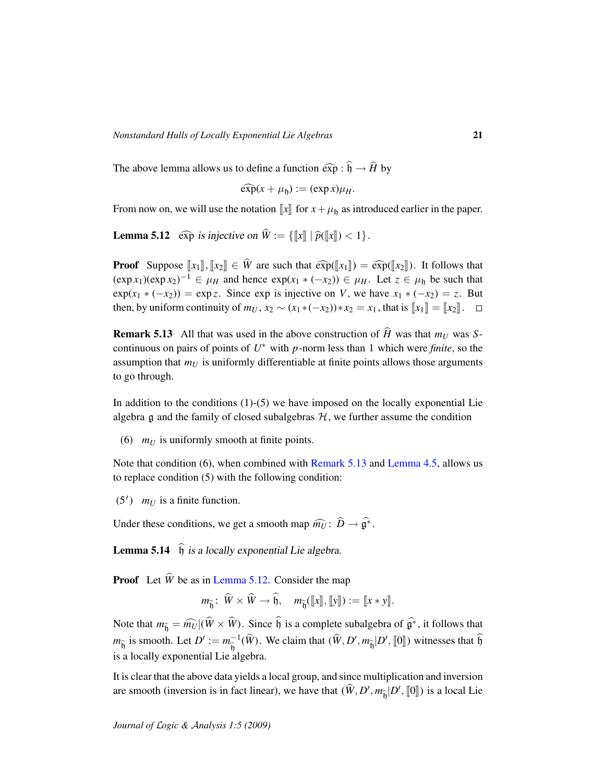The above lemma allows us to define a function  $\widehat{\exp} : \widehat{\mathfrak{h}} \to \widehat{H}$  by

$$
\widehat{\exp}(x+\mu_{\mathfrak{h}}):=(\exp x)\mu_{H}.
$$

From now on, we will use the notation  $\llbracket x \rrbracket$  for  $x + \mu_h$  as introduced earlier in the paper.

<span id="page-20-1"></span>**Lemma 5.12**  $\widehat{\exp}$  is injective on  $\widehat{W} := \{ \llbracket x \rrbracket \mid \widehat{p}(\llbracket x \rrbracket) < 1 \}.$ 

**Proof** Suppose  $\llbracket x_1 \rrbracket$ ,  $\llbracket x_2 \rrbracket \in \widehat{W}$  are such that  $\widehat{\exp}(\llbracket x_1 \rrbracket) = \widehat{\exp}(\llbracket x_2 \rrbracket)$ . It follows that  $(\exp x_1)(\exp x_2)^{-1} \in \mu_H$  and hence  $\exp(x_1 \cdot (-x_2)) \in \mu_H$ . Let  $z \in \mu_h$  be such that  $\exp(x_1 \cdot (-x_2)) = \exp z$ . Since  $\exp$  is injective on *V*, we have  $x_1 \cdot (-x_2) = z$ . But then, by uniform continuity of  $m_U$ ,  $x_2 \sim (x_1 * (-x_2)) * x_2 = x_1$ , that is  $[[x_1]] = [[x_2]]$ .  $\Box$ 

<span id="page-20-0"></span>**Remark 5.13** All that was used in the above construction of  $\hat{H}$  was that  $m_U$  was Scontinuous on pairs of points of *U* <sup>∗</sup> with *p*-norm less than 1 which were *finite*, so the assumption that *m<sup>U</sup>* is uniformly differentiable at finite points allows those arguments to go through.

In addition to the conditions  $(1)-(5)$  we have imposed on the locally exponential Lie algebra  $\frak g$  and the family of closed subalgebras  $\cal H$ , we further assume the condition

(6) *m<sup>U</sup>* is uniformly smooth at finite points.

Note that condition (6), when combined with [Remark 5.13](#page-20-0) and [Lemma 4.5,](#page-14-1) allows us to replace condition (5) with the following condition:

 $(5')$  *m<sub>U</sub>* is a finite function.

Under these conditions, we get a smooth map  $\widehat{m_U}$ :  $\widehat{D} \to \widehat{\mathfrak{g}^*}$ .

<span id="page-20-2"></span>**Lemma 5.14**  $\hat{b}$  is a locally exponential Lie algebra.

**Proof** Let  $\hat{W}$  be as in [Lemma 5.12.](#page-20-1) Consider the map

$$
m_{\widehat{\mathfrak{h}}}:\ \widehat{W}\times \widehat{W}\to \widehat{\mathfrak{h}},\quad m_{\widehat{\mathfrak{h}}}([\![x]\!], [\![y]\!]):=[\![x*y]\!].
$$

Note that  $m_{\hat{b}} = \hat{m}_U|(\hat{W} \times \hat{W})$ . Since  $\hat{b}$  is a complete subalgebra of  $\hat{g}^*$ , it follows that  $m_{\hat{b}}$  is smooth. Let  $D' := m_{\hat{b}}^{-1}$  $\widehat{\theta}^{-1}$  ( $\widehat{W}$ ). We claim that  $(\widehat{W}, D', m_{\widehat{\theta}} | D', [0])$  witnesses that  $\widehat{\theta}$ is a locally exponential Lie algebra.

It is clear that the above data yields a local group, and since multiplication and inversion are smooth (inversion is in fact linear), we have that  $(\hat{W}, D', m_{\hat{b}}|D', [0])$  is a local Lie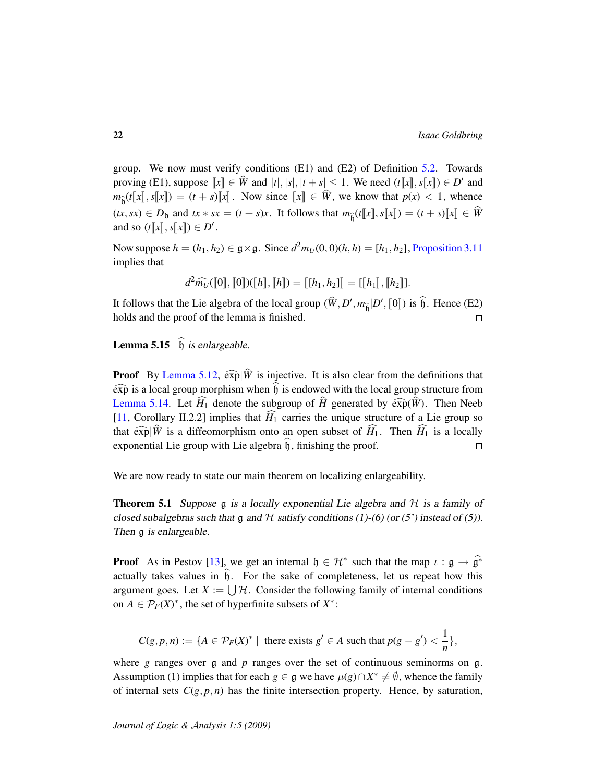group. We now must verify conditions (E1) and (E2) of Definition [5.2.](#page-16-0) Towards proving (E1), suppose  $\llbracket x \rrbracket \in \widehat{W}$  and  $|t|, |s|, |t+s| \leq 1$ . We need  $(t\llbracket x \rrbracket, s\llbracket x \rrbracket) \in D'$  and  $w$   $(t\llbracket x \rrbracket \ll w)$  and  $w$  is the  $w(x) \leq 1$  wheneed  $m_{\hat{b}}(t\llbracket x \rrbracket, s\llbracket x \rrbracket) = (t + s)\llbracket x \rrbracket$ . Now since  $\llbracket x \rrbracket \in W$ , we know that  $p(x) < 1$ , whence  $(tx, sx) \in D_{\mathfrak{h}}$  and  $tx * sx = (t + s)x$ . It follows that  $m_{\hat{\mathfrak{h}}} (t[[x], s[[x]]) = (t + s)[x]] \in \hat{W}$ and so  $(t[[x], s[[x]]) \in D'.$ 

Now suppose  $h = (h_1, h_2) \in \mathfrak{g} \times \mathfrak{g}$ . Since  $d^2 m_U(0, 0)(h, h) = [h_1, h_2]$ , [Proposition 3.11](#page-9-0) implies that

$$
d^2\widehat{m_U}(\llbracket 0\rrbracket, \llbracket 0\rrbracket)(\llbracket h\rrbracket, \llbracket h\rrbracket) = \llbracket [h_1, h_2]\rrbracket = \llbracket [h_1\rrbracket, \llbracket h_2\rrbracket].
$$

It follows that the Lie algebra of the local group  $(\hat{W}, D', m_{\hat{b}} | D', [0])$  is  $\hat{b}$ . Hence (E2) holds and the proof of the lemma is finished.

**Lemma 5.15**  $\hat{h}$  is enlargeable.

**Proof** By [Lemma 5.12,](#page-20-1)  $\widehat{\exp}|\widehat{W}$  is injective. It is also clear from the definitions that  $\widehat{\exp}$  is a local group morphism when  $\widehat{\mathfrak{h}}$  is endowed with the local group structure from [Lemma 5.14.](#page-20-2) Let  $\widehat{H}_1$  denote the subgroup of  $\widehat{H}$  generated by  $\widehat{\exp}(\widehat{W})$ . Then Neeb [\[11,](#page-24-0) Corollary II.2.2] implies that  $\widehat{H}_1$  carries the unique structure of a Lie group so that  $\widehat{\exp}|\widehat{W}|$  is a diffeomorphism onto an open subset of  $\widehat{H}_1$ . Then  $\widehat{H}_1$  is a locally exponential Lie group with Lie algebra  $\hat{\mathfrak{h}}$ , finishing the proof.

We are now ready to state our main theorem on localizing enlargeability.

<span id="page-21-0"></span>**Theorem 5.1** Suppose g is a locally exponential Lie algebra and  $H$  is a family of closed subalgebras such that g and  $H$  satisfy conditions (1)-(6) (or (5') instead of (5)). Then  $\alpha$  is enlargeable.

**Proof** As in Pestov [\[13\]](#page-24-1), we get an internal  $\mathfrak{h} \in \mathcal{H}^*$  such that the map  $\iota : \mathfrak{g} \to \widehat{\mathfrak{g}^*}$ actually takes values in  $\hat{h}$ . For the sake of completeness, let us repeat how this argument goes. Let  $X := \bigcup \mathcal{H}$ . Consider the following family of internal conditions on  $A \in \mathcal{P}_F(X)^*$ , the set of hyperfinite subsets of  $X^*$ :

$$
C(g, p, n) := \{ A \in \mathcal{P}_F(X)^* \mid \text{ there exists } g' \in A \text{ such that } p(g - g') < \frac{1}{n} \},
$$

where *g* ranges over **g** and *p* ranges over the set of continuous seminorms on **g**. Assumption (1) implies that for each *g*  $\in$  g we have  $\mu(g) \cap X^* \neq \emptyset$ , whence the family of internal sets  $C(g, p, n)$  has the finite intersection property. Hence, by saturation,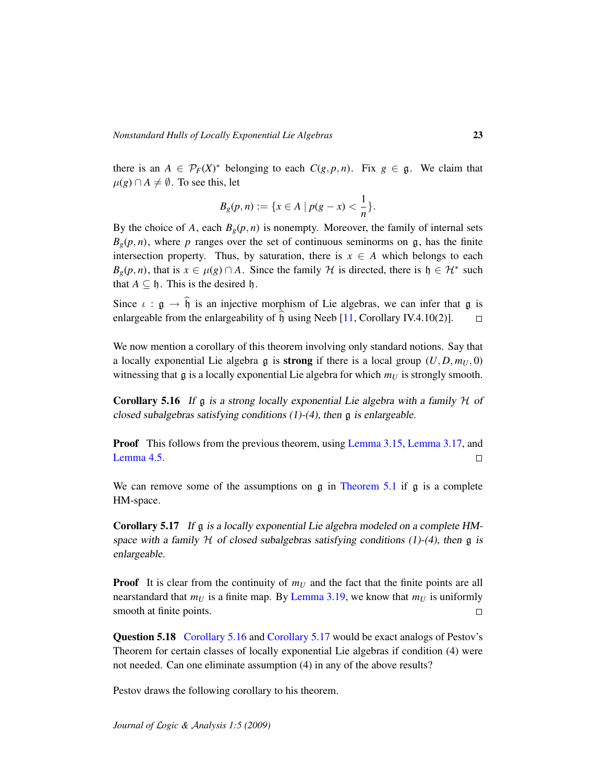there is an  $A \in \mathcal{P}_F(X)^*$  belonging to each  $C(g, p, n)$ . Fix  $g \in \mathfrak{g}$ . We claim that  $\mu$ (*g*) ∩ *A*  $\neq$   $\emptyset$ . To see this, let

$$
B_g(p, n) := \{ x \in A \mid p(g - x) < \frac{1}{n} \}.
$$

By the choice of *A*, each  $B_g(p, n)$  is nonempty. Moreover, the family of internal sets  $B_g(p,n)$ , where *p* ranges over the set of continuous seminorms on g, has the finite intersection property. Thus, by saturation, there is  $x \in A$  which belongs to each  $B_g(p,n)$ , that is  $x \in \mu(g) \cap A$ . Since the family H is directed, there is  $\mathfrak{h} \in \mathcal{H}^*$  such that  $A \subseteq \mathfrak{h}$ . This is the desired  $\mathfrak{h}$ .

Since  $\iota$  :  $\mathfrak{g} \to \hat{\mathfrak{h}}$  is an injective morphism of Lie algebras, we can infer that  $\mathfrak{g}$  is enlargeable from the enlargeability of  $\hat{\mathfrak{h}}$  using Neeb [11. Corollary IV.4.10(2)]. enlargeable from the enlargeability of  $\hat{b}$  using Neeb [\[11,](#page-24-0) Corollary IV.4.10(2)].

We now mention a corollary of this theorem involving only standard notions. Say that a locally exponential Lie algebra  $\frak{g}$  is **strong** if there is a local group  $(U, D, m_U, 0)$ witnessing that  $\mathfrak g$  is a locally exponential Lie algebra for which  $m_U$  is strongly smooth.

<span id="page-22-0"></span>**Corollary 5.16** If g is a strong locally exponential Lie algebra with a family  $H$  of closed subalgebras satisfying conditions  $(1)-(4)$ , then g is enlargeable.

**Proof** This follows from the previous theorem, using [Lemma 3.15,](#page-11-1) [Lemma 3.17,](#page-12-0) and [Lemma 4.5.](#page-14-1)  $\Box$ 

We can remove some of the assumptions on  $g$  in [Theorem 5.1](#page-21-0) if  $g$  is a complete HM-space.

<span id="page-22-1"></span>Corollary 5.17 If g is a locally exponential Lie algebra modeled on a complete HMspace with a family  $H$  of closed subalgebras satisfying conditions (1)-(4), then g is enlargeable.

**Proof** It is clear from the continuity of  $m_U$  and the fact that the finite points are all nearstandard that  $m_U$  is a finite map. By [Lemma 3.19,](#page-13-0) we know that  $m_U$  is uniformly smooth at finite points.  $\Box$ 

Question 5.18 [Corollary 5.16](#page-22-0) and [Corollary 5.17](#page-22-1) would be exact analogs of Pestov's Theorem for certain classes of locally exponential Lie algebras if condition (4) were not needed. Can one eliminate assumption (4) in any of the above results?

Pestov draws the following corollary to his theorem.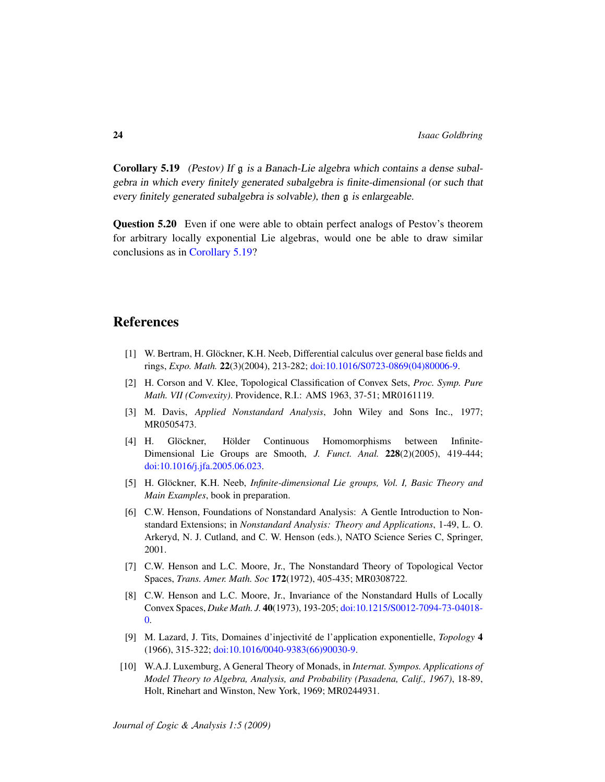<span id="page-23-10"></span>Corollary 5.19 (Pestov) If g is a Banach-Lie algebra which contains a dense subalgebra in which every finitely generated subalgebra is finite-dimensional (or such that every finitely generated subalgebra is solvable), then g is enlargeable.

Question 5.20 Even if one were able to obtain perfect analogs of Pestov's theorem for arbitrary locally exponential Lie algebras, would one be able to draw similar conclusions as in [Corollary 5.19?](#page-23-10)

# References

- <span id="page-23-5"></span>[1] W. Bertram, H. Glöckner, K.H. Neeb, Differential calculus over general base fields and rings, *Expo. Math.* 22(3)(2004), 213-282; [doi:10.1016/S0723-0869\(04\)80006-9.](http://dx.doi.org/10.1016/S0723-0869(04)80006-9)
- <span id="page-23-7"></span>[2] H. Corson and V. Klee, Topological Classification of Convex Sets, *Proc. Symp. Pure Math. VII (Convexity)*. Providence, R.I.: AMS 1963, 37-51; MR0161119.
- <span id="page-23-1"></span>[3] M. Davis, *Applied Nonstandard Analysis*, John Wiley and Sons Inc., 1977; MR0505473.
- <span id="page-23-8"></span>[4] H. Glöckner, Hölder Continuous Homomorphisms between Infinite-Dimensional Lie Groups are Smooth, *J. Funct. Anal.* 228(2)(2005), 419-444; [doi:10.1016/j.jfa.2005.06.023.](http://dx.doi.org/10.1016/j.jfa.2005.06.023)
- <span id="page-23-9"></span>[5] H. Glöckner, K.H. Neeb, *Infinite-dimensional Lie groups, Vol. I, Basic Theory and Main Examples*, book in preparation.
- <span id="page-23-2"></span>[6] C.W. Henson, Foundations of Nonstandard Analysis: A Gentle Introduction to Nonstandard Extensions; in *Nonstandard Analysis: Theory and Applications*, 1-49, L. O. Arkeryd, N. J. Cutland, and C. W. Henson (eds.), NATO Science Series C, Springer, 2001.
- <span id="page-23-4"></span>[7] C.W. Henson and L.C. Moore, Jr., The Nonstandard Theory of Topological Vector Spaces, *Trans. Amer. Math. Soc* 172(1972), 405-435; MR0308722.
- <span id="page-23-6"></span>[8] C.W. Henson and L.C. Moore, Jr., Invariance of the Nonstandard Hulls of Locally Convex Spaces, *Duke Math. J.* 40(1973), 193-205; [doi:10.1215/S0012-7094-73-04018-](http://dx.doi.org/10.1215/S0012-7094-73-04018-0) [0.](http://dx.doi.org/10.1215/S0012-7094-73-04018-0)
- <span id="page-23-0"></span>[9] M. Lazard, J. Tits, Domaines d'injectivite de l'application exponentielle, ´ *Topology* 4 (1966), 315-322; [doi:10.1016/0040-9383\(66\)90030-9.](http://dx.doi.org/10.1016/0040-9383(66)90030-9)
- <span id="page-23-3"></span>[10] W.A.J. Luxemburg, A General Theory of Monads, in *Internat. Sympos. Applications of Model Theory to Algebra, Analysis, and Probability (Pasadena, Calif., 1967)*, 18-89, Holt, Rinehart and Winston, New York, 1969; MR0244931.